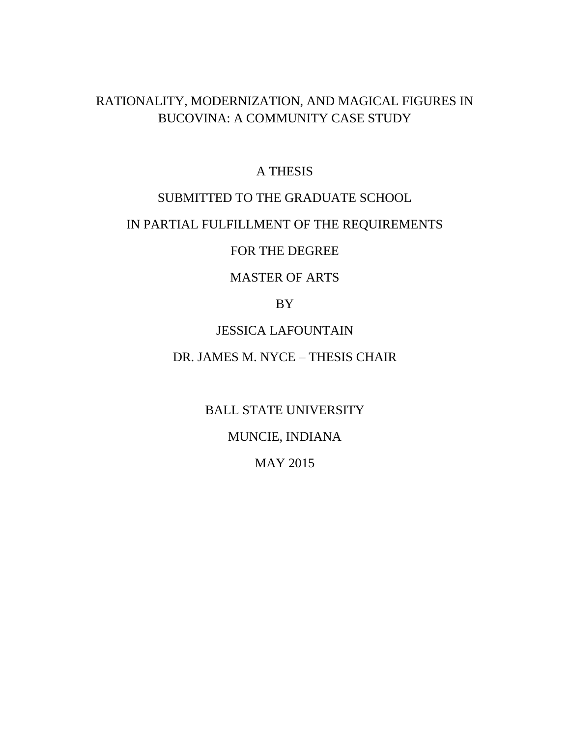# RATIONALITY, MODERNIZATION, AND MAGICAL FIGURES IN BUCOVINA: A COMMUNITY CASE STUDY

## A THESIS

## SUBMITTED TO THE GRADUATE SCHOOL

## IN PARTIAL FULFILLMENT OF THE REQUIREMENTS

## FOR THE DEGREE

# MASTER OF ARTS

## BY

## JESSICA LAFOUNTAIN

# DR. JAMES M. NYCE – THESIS CHAIR

BALL STATE UNIVERSITY

# MUNCIE, INDIANA

# MAY 2015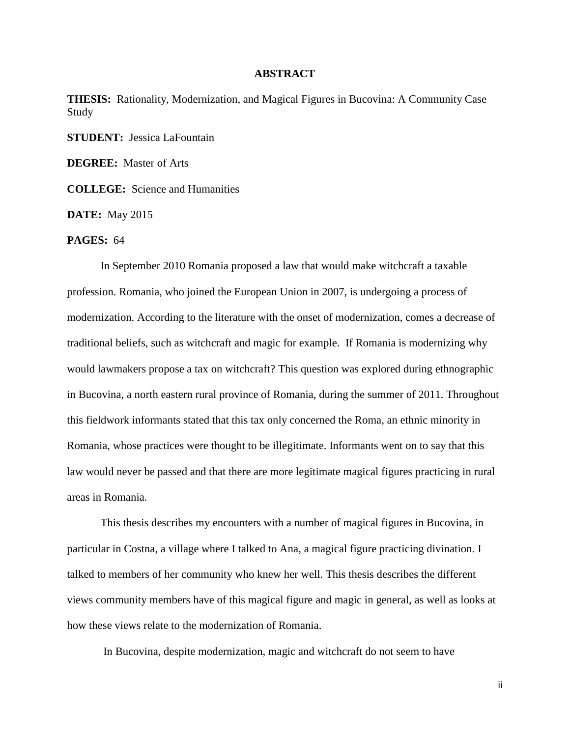#### **ABSTRACT**

**THESIS:** Rationality, Modernization, and Magical Figures in Bucovina: A Community Case Study

**STUDENT:** Jessica LaFountain

**DEGREE:** Master of Arts

**COLLEGE:** Science and Humanities

**DATE:** May 2015

## **PAGES:** 64

In September 2010 Romania proposed a law that would make witchcraft a taxable profession. Romania, who joined the European Union in 2007, is undergoing a process of modernization. According to the literature with the onset of modernization, comes a decrease of traditional beliefs, such as witchcraft and magic for example. If Romania is modernizing why would lawmakers propose a tax on witchcraft? This question was explored during ethnographic in Bucovina, a north eastern rural province of Romania, during the summer of 2011. Throughout this fieldwork informants stated that this tax only concerned the Roma, an ethnic minority in Romania, whose practices were thought to be illegitimate. Informants went on to say that this law would never be passed and that there are more legitimate magical figures practicing in rural areas in Romania.

This thesis describes my encounters with a number of magical figures in Bucovina, in particular in Costna, a village where I talked to Ana, a magical figure practicing divination. I talked to members of her community who knew her well. This thesis describes the different views community members have of this magical figure and magic in general, as well as looks at how these views relate to the modernization of Romania.

In Bucovina, despite modernization, magic and witchcraft do not seem to have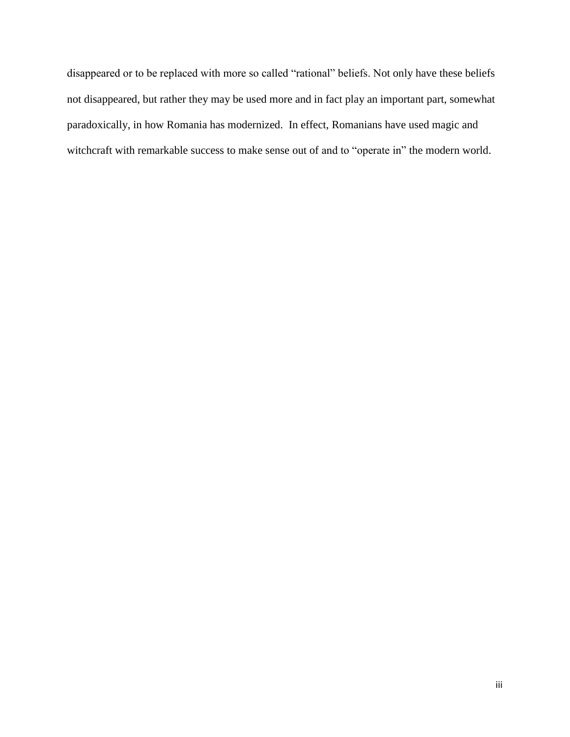disappeared or to be replaced with more so called "rational" beliefs. Not only have these beliefs not disappeared, but rather they may be used more and in fact play an important part, somewhat paradoxically, in how Romania has modernized. In effect, Romanians have used magic and witchcraft with remarkable success to make sense out of and to "operate in" the modern world.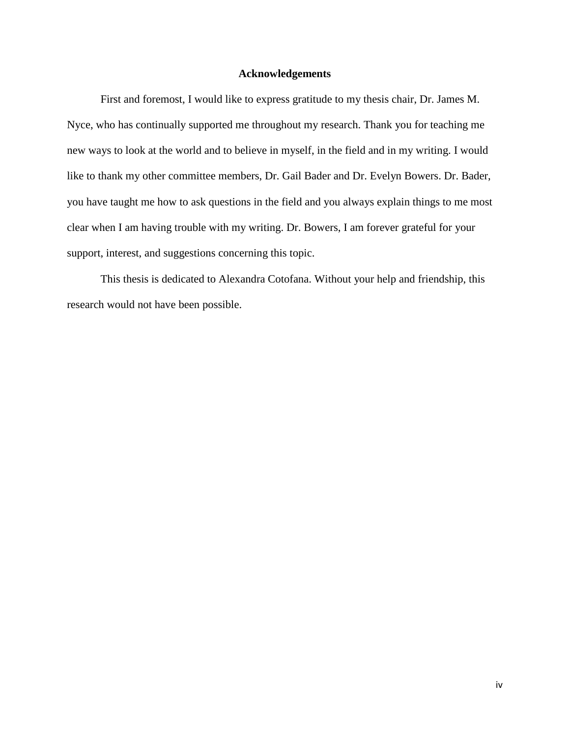## **Acknowledgements**

First and foremost, I would like to express gratitude to my thesis chair, Dr. James M. Nyce, who has continually supported me throughout my research. Thank you for teaching me new ways to look at the world and to believe in myself, in the field and in my writing. I would like to thank my other committee members, Dr. Gail Bader and Dr. Evelyn Bowers. Dr. Bader, you have taught me how to ask questions in the field and you always explain things to me most clear when I am having trouble with my writing. Dr. Bowers, I am forever grateful for your support, interest, and suggestions concerning this topic.

This thesis is dedicated to Alexandra Cotofana. Without your help and friendship, this research would not have been possible.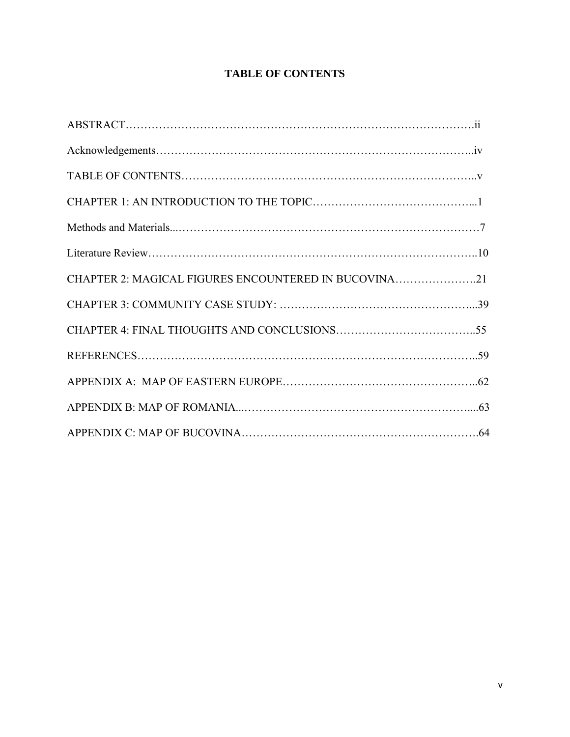## **TABLE OF CONTENTS**

| CHAPTER 2: MAGICAL FIGURES ENCOUNTERED IN BUCOVINA21 |  |
|------------------------------------------------------|--|
|                                                      |  |
|                                                      |  |
|                                                      |  |
|                                                      |  |
|                                                      |  |
|                                                      |  |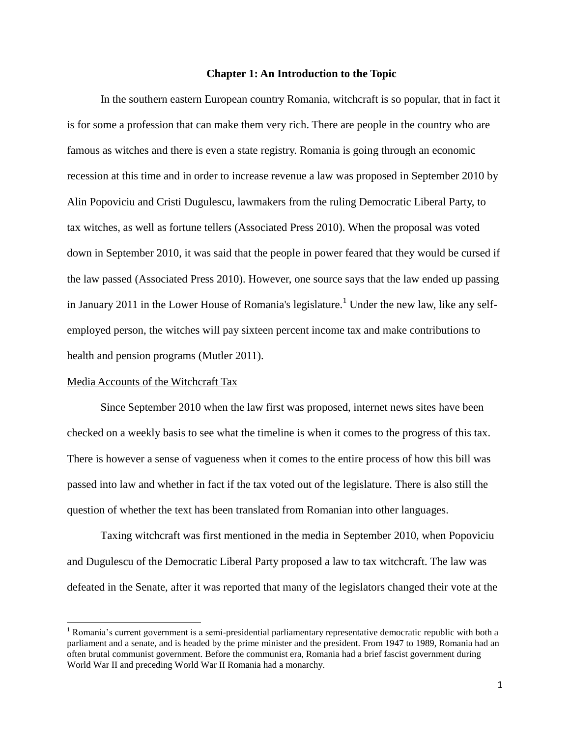## **Chapter 1: An Introduction to the Topic**

In the southern eastern European country Romania, witchcraft is so popular, that in fact it is for some a profession that can make them very rich. There are people in the country who are famous as witches and there is even a state registry. Romania is going through an economic recession at this time and in order to increase revenue a law was proposed in September 2010 by Alin Popoviciu and Cristi Dugulescu, lawmakers from the ruling Democratic Liberal Party, to tax witches, as well as fortune tellers (Associated Press 2010). When the proposal was voted down in September 2010, it was said that the people in power feared that they would be cursed if the law passed (Associated Press 2010). However, one source says that the law ended up passing in January 2011 in the Lower House of Romania's legislature.<sup>1</sup> Under the new law, like any selfemployed person, the witches will pay sixteen percent income tax and make contributions to health and pension programs (Mutler 2011).

#### Media Accounts of the Witchcraft Tax

 $\overline{\phantom{a}}$ 

Since September 2010 when the law first was proposed, internet news sites have been checked on a weekly basis to see what the timeline is when it comes to the progress of this tax. There is however a sense of vagueness when it comes to the entire process of how this bill was passed into law and whether in fact if the tax voted out of the legislature. There is also still the question of whether the text has been translated from Romanian into other languages.

Taxing witchcraft was first mentioned in the media in September 2010, when Popoviciu and Dugulescu of the Democratic Liberal Party proposed a law to tax witchcraft. The law was defeated in the Senate, after it was reported that many of the legislators changed their vote at the

<sup>&</sup>lt;sup>1</sup> Romania's current government is a semi-presidential parliamentary representative democratic republic with both a parliament and a senate, and is headed by the prime minister and the president. From 1947 to 1989, Romania had an often brutal communist government. Before the communist era, Romania had a brief fascist government during World War II and preceding World War II Romania had a monarchy.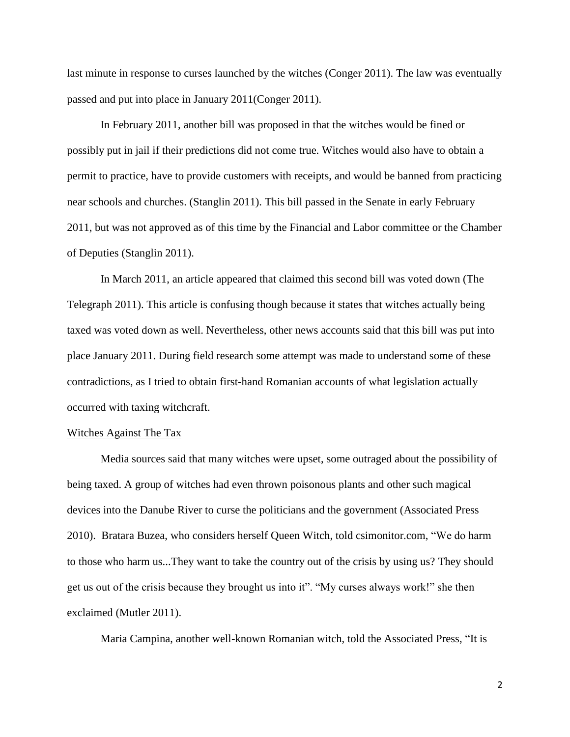last minute in response to curses launched by the witches (Conger 2011). The law was eventually passed and put into place in January 2011(Conger 2011).

In February 2011, another bill was proposed in that the witches would be fined or possibly put in jail if their predictions did not come true. Witches would also have to obtain a permit to practice, have to provide customers with receipts, and would be banned from practicing near schools and churches. (Stanglin 2011). This bill passed in the Senate in early February 2011, but was not approved as of this time by the Financial and Labor committee or the Chamber of Deputies (Stanglin 2011).

In March 2011, an article appeared that claimed this second bill was voted down (The Telegraph 2011). This article is confusing though because it states that witches actually being taxed was voted down as well. Nevertheless, other news accounts said that this bill was put into place January 2011. During field research some attempt was made to understand some of these contradictions, as I tried to obtain first-hand Romanian accounts of what legislation actually occurred with taxing witchcraft.

#### Witches Against The Tax

Media sources said that many witches were upset, some outraged about the possibility of being taxed. A group of witches had even thrown poisonous plants and other such magical devices into the Danube River to curse the politicians and the government (Associated Press 2010). Bratara Buzea, who considers herself Queen Witch, told csimonitor.com, "We do harm to those who harm us...They want to take the country out of the crisis by using us? They should get us out of the crisis because they brought us into it". "My curses always work!" she then exclaimed (Mutler 2011).

Maria Campina, another well-known Romanian witch, told the Associated Press, "It is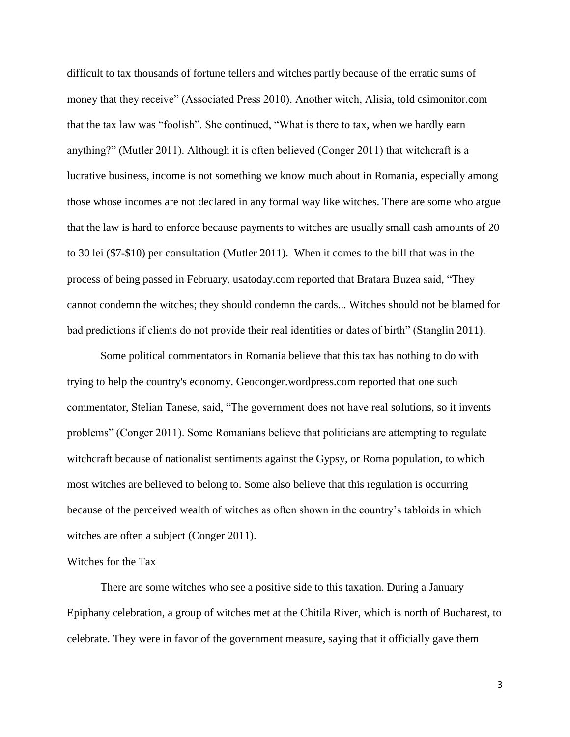difficult to tax thousands of fortune tellers and witches partly because of the erratic sums of money that they receive" (Associated Press 2010). Another witch, Alisia, told csimonitor.com that the tax law was "foolish". She continued, "What is there to tax, when we hardly earn anything?" (Mutler 2011). Although it is often believed (Conger 2011) that witchcraft is a lucrative business, income is not something we know much about in Romania, especially among those whose incomes are not declared in any formal way like witches. There are some who argue that the law is hard to enforce because payments to witches are usually small cash amounts of 20 to 30 lei (\$7-\$10) per consultation (Mutler 2011). When it comes to the bill that was in the process of being passed in February, usatoday.com reported that Bratara Buzea said, "They cannot condemn the witches; they should condemn the cards... Witches should not be blamed for bad predictions if clients do not provide their real identities or dates of birth" (Stanglin 2011).

Some political commentators in Romania believe that this tax has nothing to do with trying to help the country's economy. Geoconger.wordpress.com reported that one such commentator, Stelian Tanese, said, "The government does not have real solutions, so it invents problems" (Conger 2011). Some Romanians believe that politicians are attempting to regulate witchcraft because of nationalist sentiments against the Gypsy, or Roma population, to which most witches are believed to belong to. Some also believe that this regulation is occurring because of the perceived wealth of witches as often shown in the country's tabloids in which witches are often a subject (Conger 2011).

## Witches for the Tax

There are some witches who see a positive side to this taxation. During a January Epiphany celebration, a group of witches met at the Chitila River, which is north of Bucharest, to celebrate. They were in favor of the government measure, saying that it officially gave them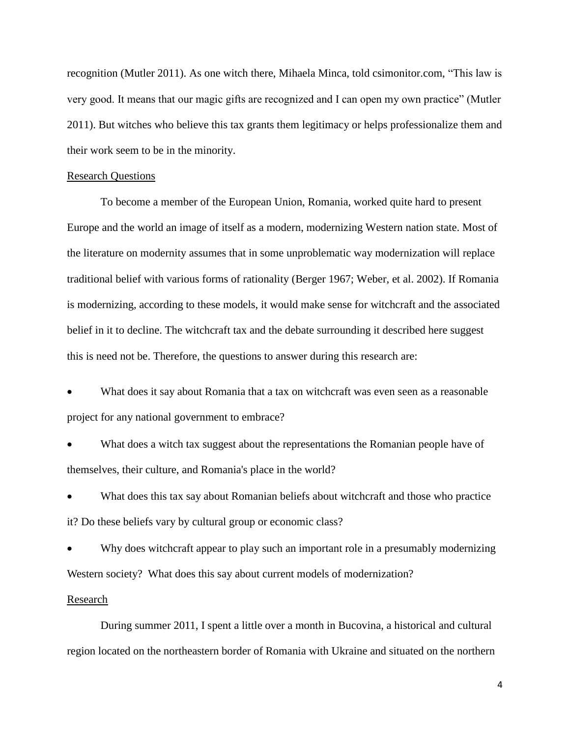recognition (Mutler 2011). As one witch there, Mihaela Minca, told csimonitor.com, "This law is very good. It means that our magic gifts are recognized and I can open my own practice" (Mutler 2011). But witches who believe this tax grants them legitimacy or helps professionalize them and their work seem to be in the minority.

#### Research Questions

To become a member of the European Union, Romania, worked quite hard to present Europe and the world an image of itself as a modern, modernizing Western nation state. Most of the literature on modernity assumes that in some unproblematic way modernization will replace traditional belief with various forms of rationality (Berger 1967; Weber, et al. 2002). If Romania is modernizing, according to these models, it would make sense for witchcraft and the associated belief in it to decline. The witchcraft tax and the debate surrounding it described here suggest this is need not be. Therefore, the questions to answer during this research are:

 What does it say about Romania that a tax on witchcraft was even seen as a reasonable project for any national government to embrace?

What does a witch tax suggest about the representations the Romanian people have of themselves, their culture, and Romania's place in the world?

 What does this tax say about Romanian beliefs about witchcraft and those who practice it? Do these beliefs vary by cultural group or economic class?

 Why does witchcraft appear to play such an important role in a presumably modernizing Western society? What does this say about current models of modernization?

#### Research

During summer 2011, I spent a little over a month in Bucovina, a historical and cultural region located on the northeastern border of Romania with Ukraine and situated on the northern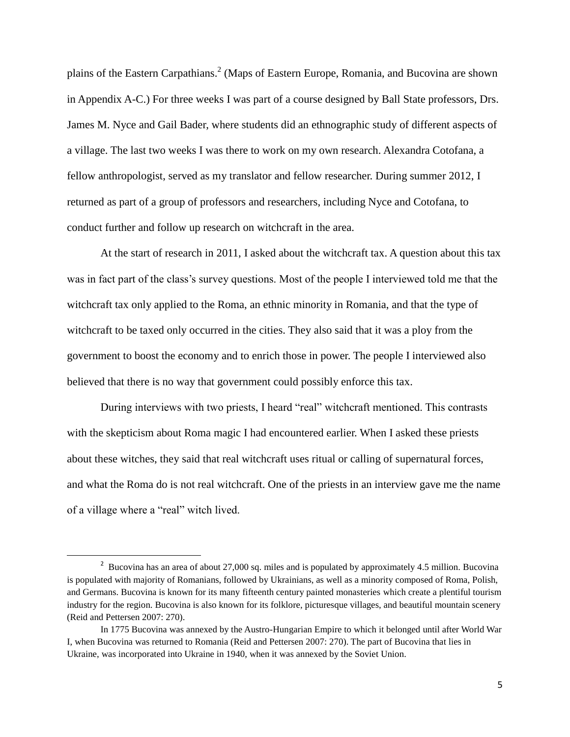plains of the Eastern Carpathians.<sup>2</sup> (Maps of Eastern Europe, Romania, and Bucovina are shown in Appendix A-C.) For three weeks I was part of a course designed by Ball State professors, Drs. James M. Nyce and Gail Bader, where students did an ethnographic study of different aspects of a village. The last two weeks I was there to work on my own research. Alexandra Cotofana, a fellow anthropologist, served as my translator and fellow researcher. During summer 2012, I returned as part of a group of professors and researchers, including Nyce and Cotofana, to conduct further and follow up research on witchcraft in the area.

At the start of research in 2011, I asked about the witchcraft tax. A question about this tax was in fact part of the class's survey questions. Most of the people I interviewed told me that the witchcraft tax only applied to the Roma, an ethnic minority in Romania, and that the type of witchcraft to be taxed only occurred in the cities. They also said that it was a ploy from the government to boost the economy and to enrich those in power. The people I interviewed also believed that there is no way that government could possibly enforce this tax.

During interviews with two priests, I heard "real" witchcraft mentioned. This contrasts with the skepticism about Roma magic I had encountered earlier. When I asked these priests about these witches, they said that real witchcraft uses ritual or calling of supernatural forces, and what the Roma do is not real witchcraft. One of the priests in an interview gave me the name of a village where a "real" witch lived.

l

<sup>&</sup>lt;sup>2</sup> Bucovina has an area of about 27,000 sq. miles and is populated by approximately 4.5 million. Bucovina is populated with majority of Romanians, followed by Ukrainians, as well as a minority composed of Roma, Polish, and Germans. Bucovina is known for its many fifteenth century painted monasteries which create a plentiful tourism industry for the region. Bucovina is also known for its folklore, picturesque villages, and beautiful mountain scenery (Reid and Pettersen 2007: 270).

In 1775 Bucovina was annexed by the Austro-Hungarian Empire to which it belonged until after World War I, when Bucovina was returned to Romania (Reid and Pettersen 2007: 270). The part of Bucovina that lies in Ukraine, was incorporated into Ukraine in 1940, when it was annexed by the Soviet Union.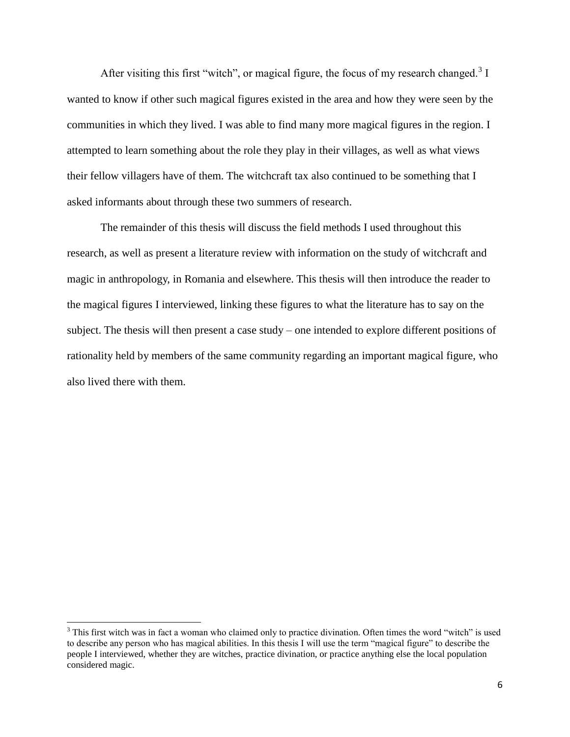After visiting this first "witch", or magical figure, the focus of my research changed. $3$  I wanted to know if other such magical figures existed in the area and how they were seen by the communities in which they lived. I was able to find many more magical figures in the region. I attempted to learn something about the role they play in their villages, as well as what views their fellow villagers have of them. The witchcraft tax also continued to be something that I asked informants about through these two summers of research.

The remainder of this thesis will discuss the field methods I used throughout this research, as well as present a literature review with information on the study of witchcraft and magic in anthropology, in Romania and elsewhere. This thesis will then introduce the reader to the magical figures I interviewed, linking these figures to what the literature has to say on the subject. The thesis will then present a case study – one intended to explore different positions of rationality held by members of the same community regarding an important magical figure, who also lived there with them.

<sup>&</sup>lt;sup>3</sup> This first witch was in fact a woman who claimed only to practice divination. Often times the word "witch" is used to describe any person who has magical abilities. In this thesis I will use the term "magical figure" to describe the people I interviewed, whether they are witches, practice divination, or practice anything else the local population considered magic.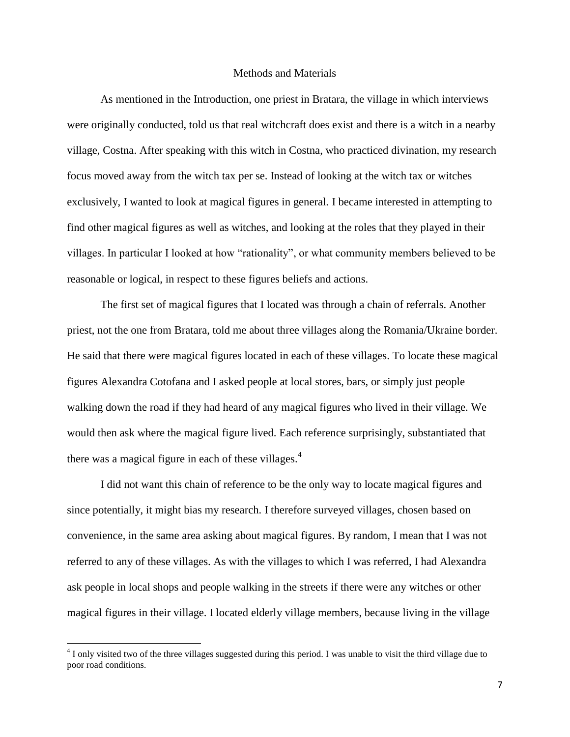#### Methods and Materials

As mentioned in the Introduction, one priest in Bratara, the village in which interviews were originally conducted, told us that real witchcraft does exist and there is a witch in a nearby village, Costna. After speaking with this witch in Costna, who practiced divination, my research focus moved away from the witch tax per se. Instead of looking at the witch tax or witches exclusively, I wanted to look at magical figures in general. I became interested in attempting to find other magical figures as well as witches, and looking at the roles that they played in their villages. In particular I looked at how "rationality", or what community members believed to be reasonable or logical, in respect to these figures beliefs and actions.

The first set of magical figures that I located was through a chain of referrals. Another priest, not the one from Bratara, told me about three villages along the Romania/Ukraine border. He said that there were magical figures located in each of these villages. To locate these magical figures Alexandra Cotofana and I asked people at local stores, bars, or simply just people walking down the road if they had heard of any magical figures who lived in their village. We would then ask where the magical figure lived. Each reference surprisingly, substantiated that there was a magical figure in each of these villages. $4$ 

I did not want this chain of reference to be the only way to locate magical figures and since potentially, it might bias my research. I therefore surveyed villages, chosen based on convenience, in the same area asking about magical figures. By random, I mean that I was not referred to any of these villages. As with the villages to which I was referred, I had Alexandra ask people in local shops and people walking in the streets if there were any witches or other magical figures in their village. I located elderly village members, because living in the village

 $4$  I only visited two of the three villages suggested during this period. I was unable to visit the third village due to poor road conditions.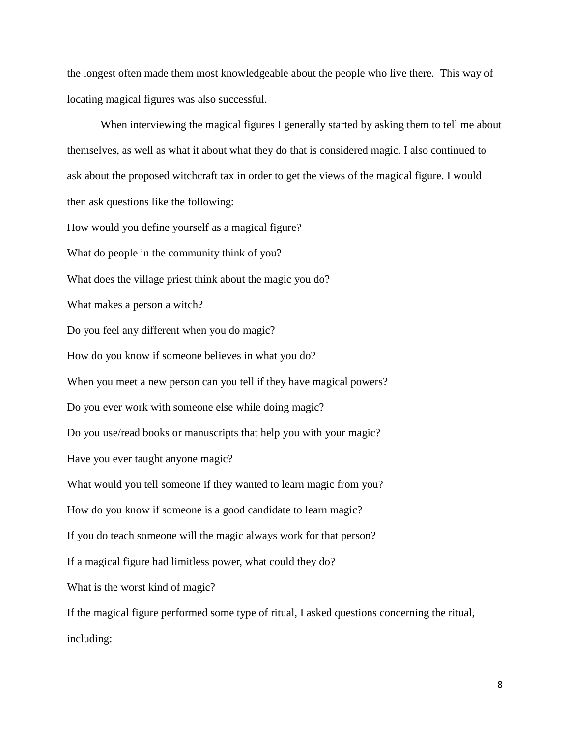the longest often made them most knowledgeable about the people who live there. This way of locating magical figures was also successful.

When interviewing the magical figures I generally started by asking them to tell me about themselves, as well as what it about what they do that is considered magic. I also continued to ask about the proposed witchcraft tax in order to get the views of the magical figure. I would then ask questions like the following: How would you define yourself as a magical figure? What do people in the community think of you? What does the village priest think about the magic you do? What makes a person a witch? Do you feel any different when you do magic? How do you know if someone believes in what you do? When you meet a new person can you tell if they have magical powers? Do you ever work with someone else while doing magic? Do you use/read books or manuscripts that help you with your magic? Have you ever taught anyone magic? What would you tell someone if they wanted to learn magic from you? How do you know if someone is a good candidate to learn magic? If you do teach someone will the magic always work for that person? If a magical figure had limitless power, what could they do? What is the worst kind of magic? If the magical figure performed some type of ritual, I asked questions concerning the ritual, including: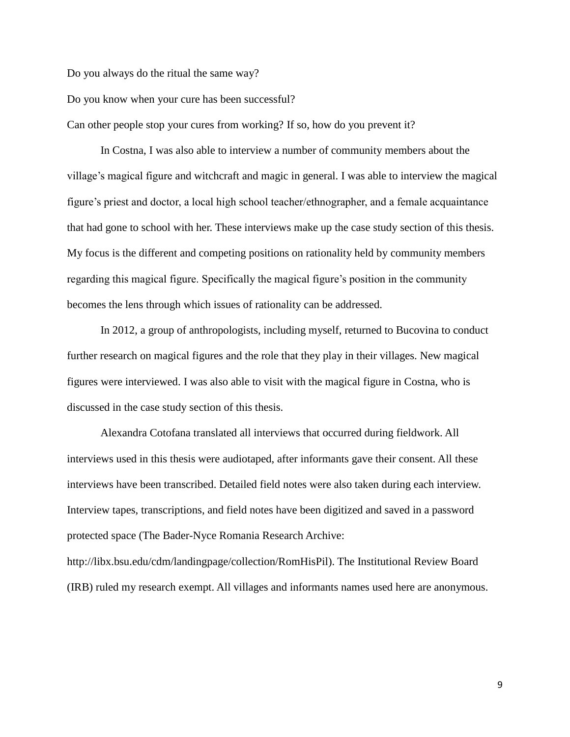Do you always do the ritual the same way?

Do you know when your cure has been successful?

Can other people stop your cures from working? If so, how do you prevent it?

In Costna, I was also able to interview a number of community members about the village's magical figure and witchcraft and magic in general. I was able to interview the magical figure's priest and doctor, a local high school teacher/ethnographer, and a female acquaintance that had gone to school with her. These interviews make up the case study section of this thesis. My focus is the different and competing positions on rationality held by community members regarding this magical figure. Specifically the magical figure's position in the community becomes the lens through which issues of rationality can be addressed.

In 2012, a group of anthropologists, including myself, returned to Bucovina to conduct further research on magical figures and the role that they play in their villages. New magical figures were interviewed. I was also able to visit with the magical figure in Costna, who is discussed in the case study section of this thesis.

Alexandra Cotofana translated all interviews that occurred during fieldwork. All interviews used in this thesis were audiotaped, after informants gave their consent. All these interviews have been transcribed. Detailed field notes were also taken during each interview. Interview tapes, transcriptions, and field notes have been digitized and saved in a password protected space (The Bader-Nyce Romania Research Archive: http://libx.bsu.edu/cdm/landingpage/collection/RomHisPil). The Institutional Review Board

(IRB) ruled my research exempt. All villages and informants names used here are anonymous.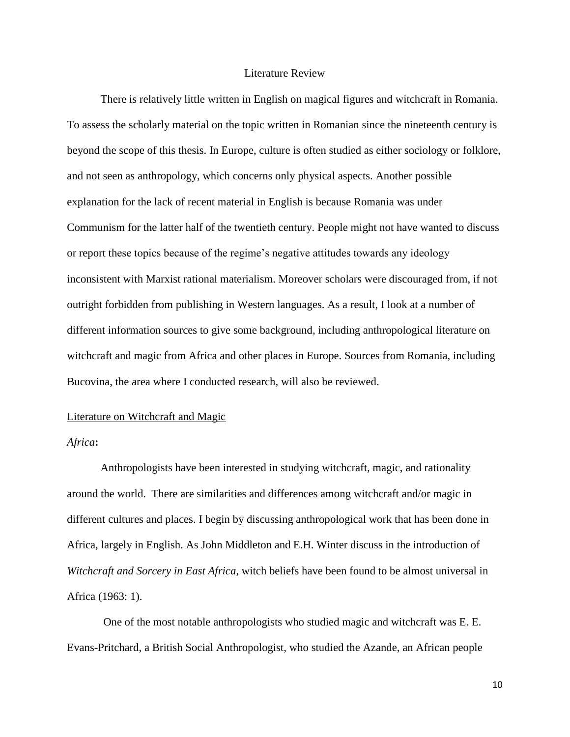## Literature Review

There is relatively little written in English on magical figures and witchcraft in Romania. To assess the scholarly material on the topic written in Romanian since the nineteenth century is beyond the scope of this thesis. In Europe, culture is often studied as either sociology or folklore, and not seen as anthropology, which concerns only physical aspects. Another possible explanation for the lack of recent material in English is because Romania was under Communism for the latter half of the twentieth century. People might not have wanted to discuss or report these topics because of the regime's negative attitudes towards any ideology inconsistent with Marxist rational materialism. Moreover scholars were discouraged from, if not outright forbidden from publishing in Western languages. As a result, I look at a number of different information sources to give some background, including anthropological literature on witchcraft and magic from Africa and other places in Europe. Sources from Romania, including Bucovina, the area where I conducted research, will also be reviewed.

#### Literature on Witchcraft and Magic

#### *Africa***:**

Anthropologists have been interested in studying witchcraft, magic, and rationality around the world. There are similarities and differences among witchcraft and/or magic in different cultures and places. I begin by discussing anthropological work that has been done in Africa, largely in English. As John Middleton and E.H. Winter discuss in the introduction of *Witchcraft and Sorcery in East Africa*, witch beliefs have been found to be almost universal in Africa (1963: 1).

One of the most notable anthropologists who studied magic and witchcraft was E. E. Evans-Pritchard, a British Social Anthropologist, who studied the Azande, an African people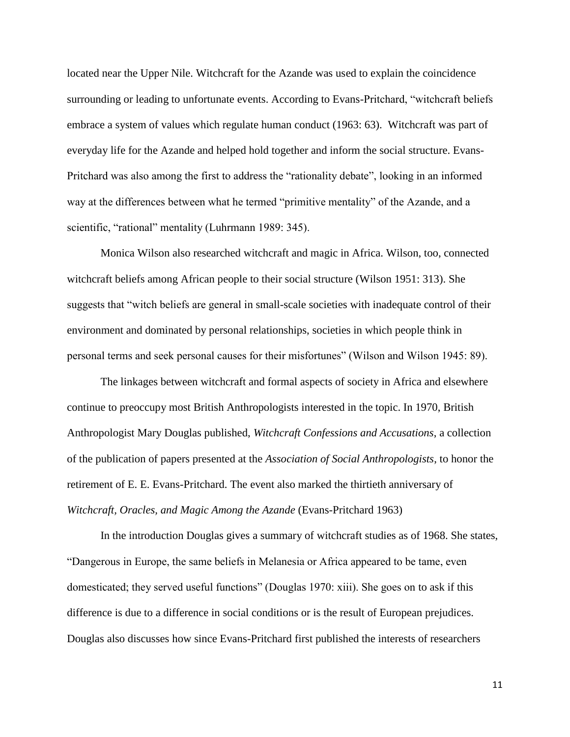located near the Upper Nile. Witchcraft for the Azande was used to explain the coincidence surrounding or leading to unfortunate events. According to Evans-Pritchard, "witchcraft beliefs" embrace a system of values which regulate human conduct (1963: 63). Witchcraft was part of everyday life for the Azande and helped hold together and inform the social structure. Evans-Pritchard was also among the first to address the "rationality debate", looking in an informed way at the differences between what he termed "primitive mentality" of the Azande, and a scientific, "rational" mentality (Luhrmann 1989: 345).

Monica Wilson also researched witchcraft and magic in Africa. Wilson, too, connected witchcraft beliefs among African people to their social structure (Wilson 1951: 313). She suggests that "witch beliefs are general in small-scale societies with inadequate control of their environment and dominated by personal relationships, societies in which people think in personal terms and seek personal causes for their misfortunes" (Wilson and Wilson 1945: 89).

The linkages between witchcraft and formal aspects of society in Africa and elsewhere continue to preoccupy most British Anthropologists interested in the topic. In 1970, British Anthropologist Mary Douglas published, *Witchcraft Confessions and Accusations*, a collection of the publication of papers presented at the *Association of Social Anthropologists*, to honor the retirement of E. E. Evans-Pritchard. The event also marked the thirtieth anniversary of *Witchcraft, Oracles, and Magic Among the Azande* (Evans-Pritchard 1963)

In the introduction Douglas gives a summary of witchcraft studies as of 1968. She states, "Dangerous in Europe, the same beliefs in Melanesia or Africa appeared to be tame, even domesticated; they served useful functions" (Douglas 1970: xiii). She goes on to ask if this difference is due to a difference in social conditions or is the result of European prejudices. Douglas also discusses how since Evans-Pritchard first published the interests of researchers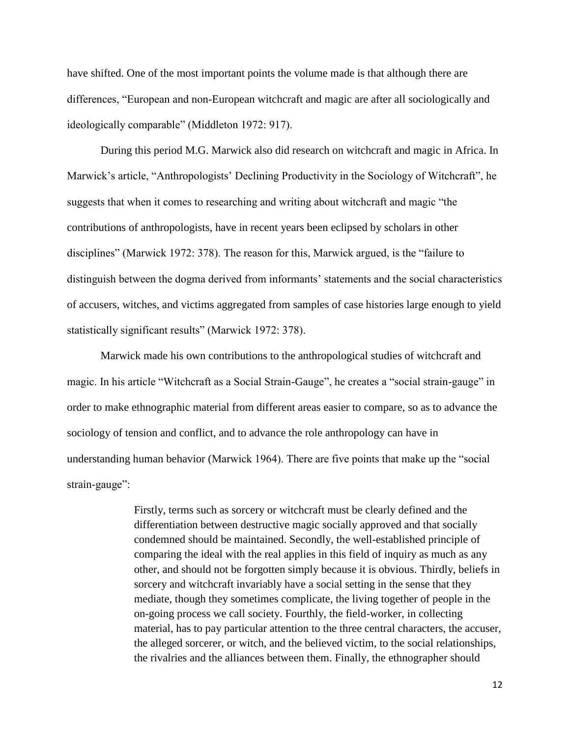have shifted. One of the most important points the volume made is that although there are differences, "European and non-European witchcraft and magic are after all sociologically and ideologically comparable" (Middleton 1972: 917).

During this period M.G. Marwick also did research on witchcraft and magic in Africa. In Marwick's article, "Anthropologists' Declining Productivity in the Sociology of Witchcraft", he suggests that when it comes to researching and writing about witchcraft and magic "the contributions of anthropologists, have in recent years been eclipsed by scholars in other disciplines" (Marwick 1972: 378). The reason for this, Marwick argued, is the "failure to distinguish between the dogma derived from informants' statements and the social characteristics of accusers, witches, and victims aggregated from samples of case histories large enough to yield statistically significant results" (Marwick 1972: 378).

Marwick made his own contributions to the anthropological studies of witchcraft and magic. In his article "Witchcraft as a Social Strain-Gauge", he creates a "social strain-gauge" in order to make ethnographic material from different areas easier to compare, so as to advance the sociology of tension and conflict, and to advance the role anthropology can have in understanding human behavior (Marwick 1964). There are five points that make up the "social strain-gauge":

> Firstly, terms such as sorcery or witchcraft must be clearly defined and the differentiation between destructive magic socially approved and that socially condemned should be maintained. Secondly, the well-established principle of comparing the ideal with the real applies in this field of inquiry as much as any other, and should not be forgotten simply because it is obvious. Thirdly, beliefs in sorcery and witchcraft invariably have a social setting in the sense that they mediate, though they sometimes complicate, the living together of people in the on-going process we call society. Fourthly, the field-worker, in collecting material, has to pay particular attention to the three central characters, the accuser, the alleged sorcerer, or witch, and the believed victim, to the social relationships, the rivalries and the alliances between them. Finally, the ethnographer should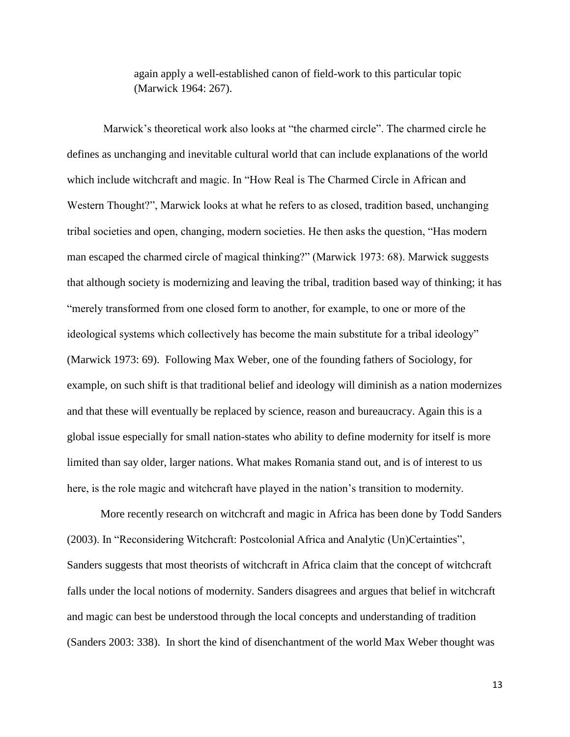again apply a well-established canon of field-work to this particular topic (Marwick 1964: 267).

Marwick's theoretical work also looks at "the charmed circle". The charmed circle he defines as unchanging and inevitable cultural world that can include explanations of the world which include witchcraft and magic. In "How Real is The Charmed Circle in African and Western Thought?", Marwick looks at what he refers to as closed, tradition based, unchanging tribal societies and open, changing, modern societies. He then asks the question, "Has modern man escaped the charmed circle of magical thinking?" (Marwick 1973: 68). Marwick suggests that although society is modernizing and leaving the tribal, tradition based way of thinking; it has "merely transformed from one closed form to another, for example, to one or more of the ideological systems which collectively has become the main substitute for a tribal ideology" (Marwick 1973: 69). Following Max Weber, one of the founding fathers of Sociology, for example, on such shift is that traditional belief and ideology will diminish as a nation modernizes and that these will eventually be replaced by science, reason and bureaucracy. Again this is a global issue especially for small nation-states who ability to define modernity for itself is more limited than say older, larger nations. What makes Romania stand out, and is of interest to us here, is the role magic and witchcraft have played in the nation's transition to modernity.

More recently research on witchcraft and magic in Africa has been done by Todd Sanders (2003). In "Reconsidering Witchcraft: Postcolonial Africa and Analytic (Un)Certainties", Sanders suggests that most theorists of witchcraft in Africa claim that the concept of witchcraft falls under the local notions of modernity. Sanders disagrees and argues that belief in witchcraft and magic can best be understood through the local concepts and understanding of tradition (Sanders 2003: 338). In short the kind of disenchantment of the world Max Weber thought was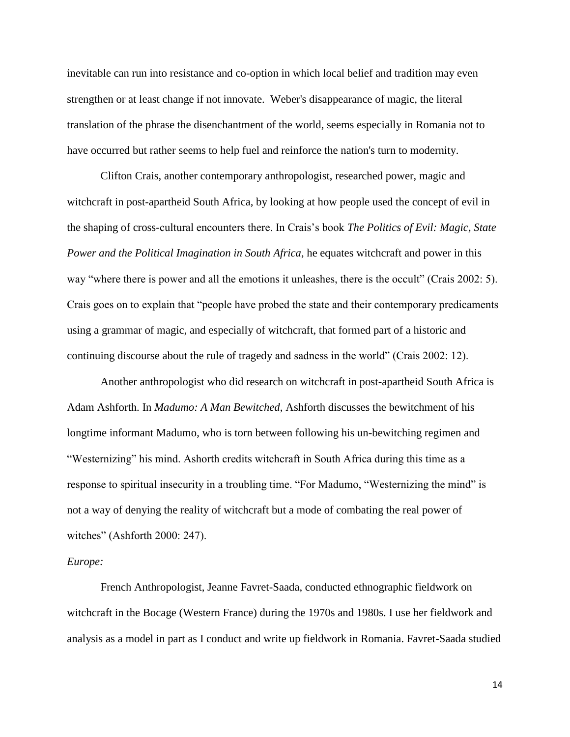inevitable can run into resistance and co-option in which local belief and tradition may even strengthen or at least change if not innovate. Weber's disappearance of magic, the literal translation of the phrase the disenchantment of the world, seems especially in Romania not to have occurred but rather seems to help fuel and reinforce the nation's turn to modernity.

Clifton Crais, another contemporary anthropologist, researched power, magic and witchcraft in post-apartheid South Africa, by looking at how people used the concept of evil in the shaping of cross-cultural encounters there. In Crais's book *The Politics of Evil: Magic, State Power and the Political Imagination in South Africa*, he equates witchcraft and power in this way "where there is power and all the emotions it unleashes, there is the occult" (Crais 2002: 5). Crais goes on to explain that "people have probed the state and their contemporary predicaments using a grammar of magic, and especially of witchcraft, that formed part of a historic and continuing discourse about the rule of tragedy and sadness in the world" (Crais 2002: 12).

Another anthropologist who did research on witchcraft in post-apartheid South Africa is Adam Ashforth. In *Madumo: A Man Bewitched*, Ashforth discusses the bewitchment of his longtime informant Madumo, who is torn between following his un-bewitching regimen and "Westernizing" his mind. Ashorth credits witchcraft in South Africa during this time as a response to spiritual insecurity in a troubling time. "For Madumo, "Westernizing the mind" is not a way of denying the reality of witchcraft but a mode of combating the real power of witches" (Ashforth 2000: 247).

#### *Europe:*

French Anthropologist, Jeanne Favret-Saada, conducted ethnographic fieldwork on witchcraft in the Bocage (Western France) during the 1970s and 1980s. I use her fieldwork and analysis as a model in part as I conduct and write up fieldwork in Romania. Favret-Saada studied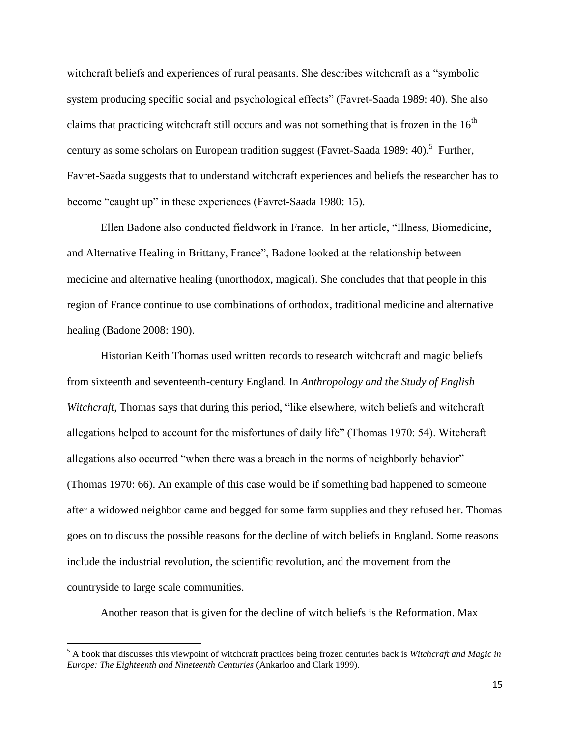witchcraft beliefs and experiences of rural peasants. She describes witchcraft as a "symbolic system producing specific social and psychological effects" (Favret-Saada 1989: 40). She also claims that practicing witchcraft still occurs and was not something that is frozen in the  $16<sup>th</sup>$ century as some scholars on European tradition suggest (Favret-Saada 1989: 40).<sup>5</sup> Further, Favret-Saada suggests that to understand witchcraft experiences and beliefs the researcher has to become "caught up" in these experiences (Favret-Saada 1980: 15).

Ellen Badone also conducted fieldwork in France. In her article, "Illness, Biomedicine, and Alternative Healing in Brittany, France", Badone looked at the relationship between medicine and alternative healing (unorthodox, magical). She concludes that that people in this region of France continue to use combinations of orthodox, traditional medicine and alternative healing (Badone 2008: 190).

Historian Keith Thomas used written records to research witchcraft and magic beliefs from sixteenth and seventeenth-century England. In *Anthropology and the Study of English Witchcraft*, Thomas says that during this period, "like elsewhere, witch beliefs and witchcraft allegations helped to account for the misfortunes of daily life" (Thomas 1970: 54). Witchcraft allegations also occurred "when there was a breach in the norms of neighborly behavior" (Thomas 1970: 66). An example of this case would be if something bad happened to someone after a widowed neighbor came and begged for some farm supplies and they refused her. Thomas goes on to discuss the possible reasons for the decline of witch beliefs in England. Some reasons include the industrial revolution, the scientific revolution, and the movement from the countryside to large scale communities.

Another reason that is given for the decline of witch beliefs is the Reformation. Max

<sup>5</sup> A book that discusses this viewpoint of witchcraft practices being frozen centuries back is *Witchcraft and Magic in Europe: The Eighteenth and Nineteenth Centuries* (Ankarloo and Clark 1999).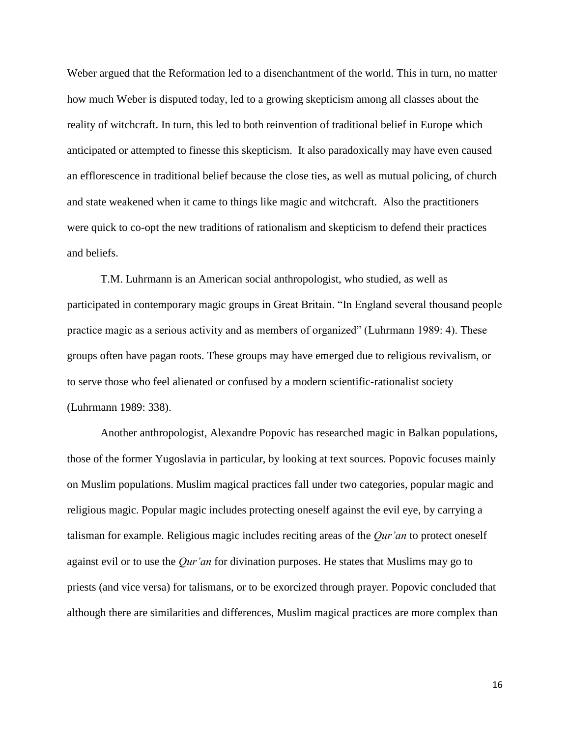Weber argued that the Reformation led to a disenchantment of the world. This in turn, no matter how much Weber is disputed today, led to a growing skepticism among all classes about the reality of witchcraft. In turn, this led to both reinvention of traditional belief in Europe which anticipated or attempted to finesse this skepticism. It also paradoxically may have even caused an efflorescence in traditional belief because the close ties, as well as mutual policing, of church and state weakened when it came to things like magic and witchcraft. Also the practitioners were quick to co-opt the new traditions of rationalism and skepticism to defend their practices and beliefs.

T.M. Luhrmann is an American social anthropologist, who studied, as well as participated in contemporary magic groups in Great Britain. "In England several thousand people practice magic as a serious activity and as members of organized" (Luhrmann 1989: 4). These groups often have pagan roots. These groups may have emerged due to religious revivalism, or to serve those who feel alienated or confused by a modern scientific-rationalist society (Luhrmann 1989: 338).

Another anthropologist, Alexandre Popovic has researched magic in Balkan populations, those of the former Yugoslavia in particular, by looking at text sources. Popovic focuses mainly on Muslim populations. Muslim magical practices fall under two categories, popular magic and religious magic. Popular magic includes protecting oneself against the evil eye, by carrying a talisman for example. Religious magic includes reciting areas of the *Qur'an* to protect oneself against evil or to use the *Qur'an* for divination purposes. He states that Muslims may go to priests (and vice versa) for talismans, or to be exorcized through prayer. Popovic concluded that although there are similarities and differences, Muslim magical practices are more complex than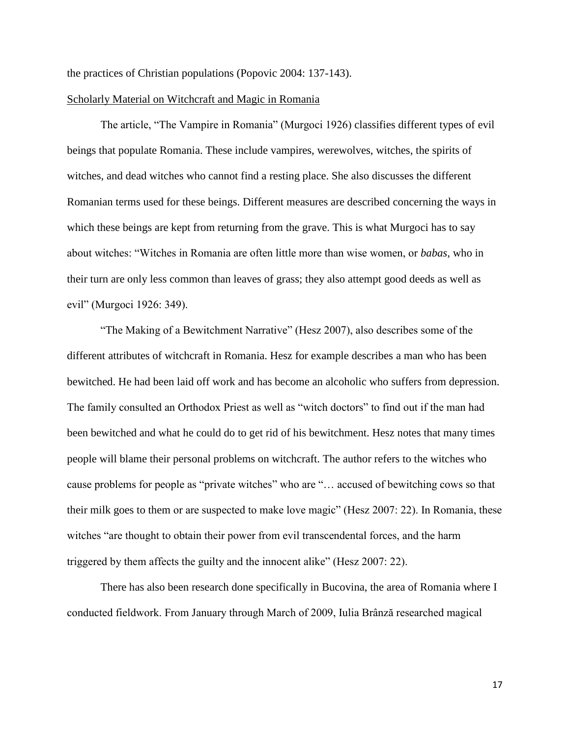the practices of Christian populations (Popovic 2004: 137-143).

#### Scholarly Material on Witchcraft and Magic in Romania

The article, "The Vampire in Romania" (Murgoci 1926) classifies different types of evil beings that populate Romania. These include vampires, werewolves, witches, the spirits of witches, and dead witches who cannot find a resting place. She also discusses the different Romanian terms used for these beings. Different measures are described concerning the ways in which these beings are kept from returning from the grave. This is what Murgoci has to say about witches: "Witches in Romania are often little more than wise women, or *babas*, who in their turn are only less common than leaves of grass; they also attempt good deeds as well as evil" (Murgoci 1926: 349).

"The Making of a Bewitchment Narrative" (Hesz 2007), also describes some of the different attributes of witchcraft in Romania. Hesz for example describes a man who has been bewitched. He had been laid off work and has become an alcoholic who suffers from depression. The family consulted an Orthodox Priest as well as "witch doctors" to find out if the man had been bewitched and what he could do to get rid of his bewitchment. Hesz notes that many times people will blame their personal problems on witchcraft. The author refers to the witches who cause problems for people as "private witches" who are "… accused of bewitching cows so that their milk goes to them or are suspected to make love magic" (Hesz 2007: 22). In Romania, these witches "are thought to obtain their power from evil transcendental forces, and the harm triggered by them affects the guilty and the innocent alike" (Hesz 2007: 22).

There has also been research done specifically in Bucovina, the area of Romania where I conducted fieldwork. From January through March of 2009, Iulia Brânză researched magical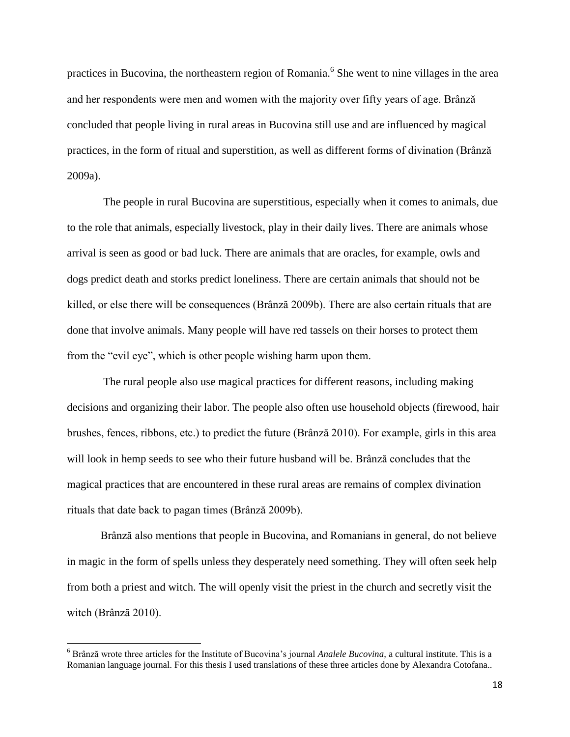practices in Bucovina, the northeastern region of Romania.<sup>6</sup> She went to nine villages in the area and her respondents were men and women with the majority over fifty years of age. Brânză concluded that people living in rural areas in Bucovina still use and are influenced by magical practices, in the form of ritual and superstition, as well as different forms of divination (Brânză 2009a).

The people in rural Bucovina are superstitious, especially when it comes to animals, due to the role that animals, especially livestock, play in their daily lives. There are animals whose arrival is seen as good or bad luck. There are animals that are oracles, for example, owls and dogs predict death and storks predict loneliness. There are certain animals that should not be killed, or else there will be consequences (Brânză 2009b). There are also certain rituals that are done that involve animals. Many people will have red tassels on their horses to protect them from the "evil eye", which is other people wishing harm upon them.

The rural people also use magical practices for different reasons, including making decisions and organizing their labor. The people also often use household objects (firewood, hair brushes, fences, ribbons, etc.) to predict the future (Brânză 2010). For example, girls in this area will look in hemp seeds to see who their future husband will be. Brânză concludes that the magical practices that are encountered in these rural areas are remains of complex divination rituals that date back to pagan times (Brânză 2009b).

Brânză also mentions that people in Bucovina, and Romanians in general, do not believe in magic in the form of spells unless they desperately need something. They will often seek help from both a priest and witch. The will openly visit the priest in the church and secretly visit the witch (Brânză 2010).

<sup>6</sup> Brânză wrote three articles for the Institute of Bucovina's journal *Analele Bucovina*, a cultural institute. This is a Romanian language journal. For this thesis I used translations of these three articles done by Alexandra Cotofana..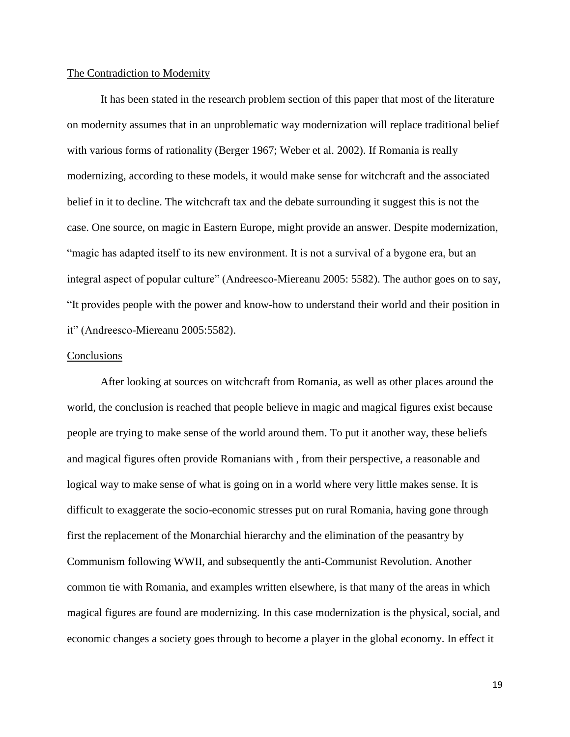#### The Contradiction to Modernity

It has been stated in the research problem section of this paper that most of the literature on modernity assumes that in an unproblematic way modernization will replace traditional belief with various forms of rationality (Berger 1967; Weber et al. 2002). If Romania is really modernizing, according to these models, it would make sense for witchcraft and the associated belief in it to decline. The witchcraft tax and the debate surrounding it suggest this is not the case. One source, on magic in Eastern Europe, might provide an answer. Despite modernization, "magic has adapted itself to its new environment. It is not a survival of a bygone era, but an integral aspect of popular culture" (Andreesco-Miereanu 2005: 5582). The author goes on to say, "It provides people with the power and know-how to understand their world and their position in it" (Andreesco-Miereanu 2005:5582).

#### **Conclusions**

After looking at sources on witchcraft from Romania, as well as other places around the world, the conclusion is reached that people believe in magic and magical figures exist because people are trying to make sense of the world around them. To put it another way, these beliefs and magical figures often provide Romanians with , from their perspective, a reasonable and logical way to make sense of what is going on in a world where very little makes sense. It is difficult to exaggerate the socio-economic stresses put on rural Romania, having gone through first the replacement of the Monarchial hierarchy and the elimination of the peasantry by Communism following WWII, and subsequently the anti-Communist Revolution. Another common tie with Romania, and examples written elsewhere, is that many of the areas in which magical figures are found are modernizing. In this case modernization is the physical, social, and economic changes a society goes through to become a player in the global economy. In effect it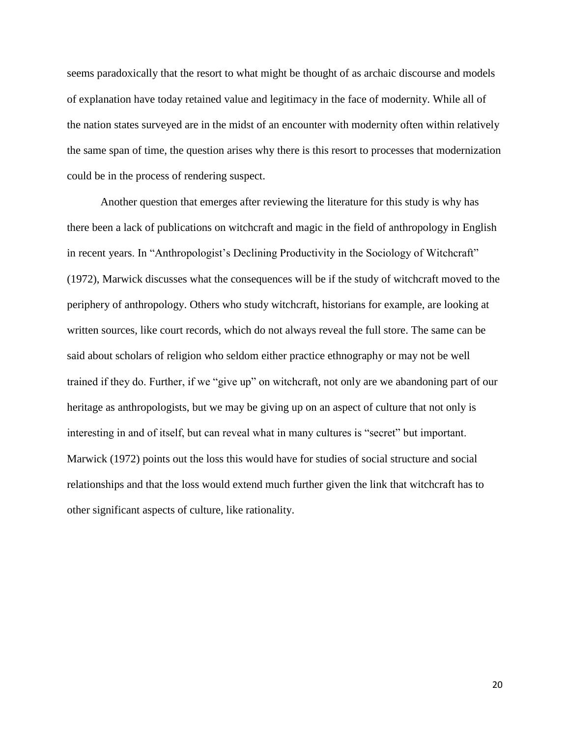seems paradoxically that the resort to what might be thought of as archaic discourse and models of explanation have today retained value and legitimacy in the face of modernity. While all of the nation states surveyed are in the midst of an encounter with modernity often within relatively the same span of time, the question arises why there is this resort to processes that modernization could be in the process of rendering suspect.

Another question that emerges after reviewing the literature for this study is why has there been a lack of publications on witchcraft and magic in the field of anthropology in English in recent years. In "Anthropologist's Declining Productivity in the Sociology of Witchcraft" (1972), Marwick discusses what the consequences will be if the study of witchcraft moved to the periphery of anthropology. Others who study witchcraft, historians for example, are looking at written sources, like court records, which do not always reveal the full store. The same can be said about scholars of religion who seldom either practice ethnography or may not be well trained if they do. Further, if we "give up" on witchcraft, not only are we abandoning part of our heritage as anthropologists, but we may be giving up on an aspect of culture that not only is interesting in and of itself, but can reveal what in many cultures is "secret" but important. Marwick (1972) points out the loss this would have for studies of social structure and social relationships and that the loss would extend much further given the link that witchcraft has to other significant aspects of culture, like rationality.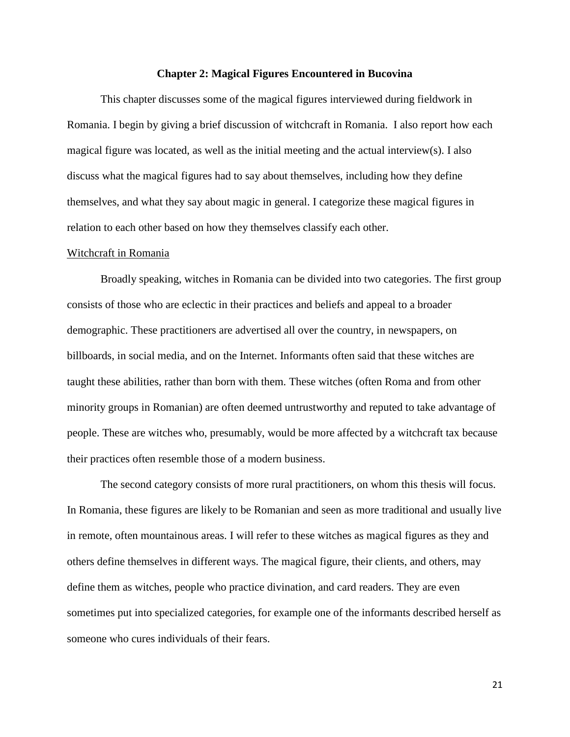#### **Chapter 2: Magical Figures Encountered in Bucovina**

This chapter discusses some of the magical figures interviewed during fieldwork in Romania. I begin by giving a brief discussion of witchcraft in Romania. I also report how each magical figure was located, as well as the initial meeting and the actual interview(s). I also discuss what the magical figures had to say about themselves, including how they define themselves, and what they say about magic in general. I categorize these magical figures in relation to each other based on how they themselves classify each other.

#### Witchcraft in Romania

Broadly speaking, witches in Romania can be divided into two categories. The first group consists of those who are eclectic in their practices and beliefs and appeal to a broader demographic. These practitioners are advertised all over the country, in newspapers, on billboards, in social media, and on the Internet. Informants often said that these witches are taught these abilities, rather than born with them. These witches (often Roma and from other minority groups in Romanian) are often deemed untrustworthy and reputed to take advantage of people. These are witches who, presumably, would be more affected by a witchcraft tax because their practices often resemble those of a modern business.

The second category consists of more rural practitioners, on whom this thesis will focus. In Romania, these figures are likely to be Romanian and seen as more traditional and usually live in remote, often mountainous areas. I will refer to these witches as magical figures as they and others define themselves in different ways. The magical figure, their clients, and others, may define them as witches, people who practice divination, and card readers. They are even sometimes put into specialized categories, for example one of the informants described herself as someone who cures individuals of their fears.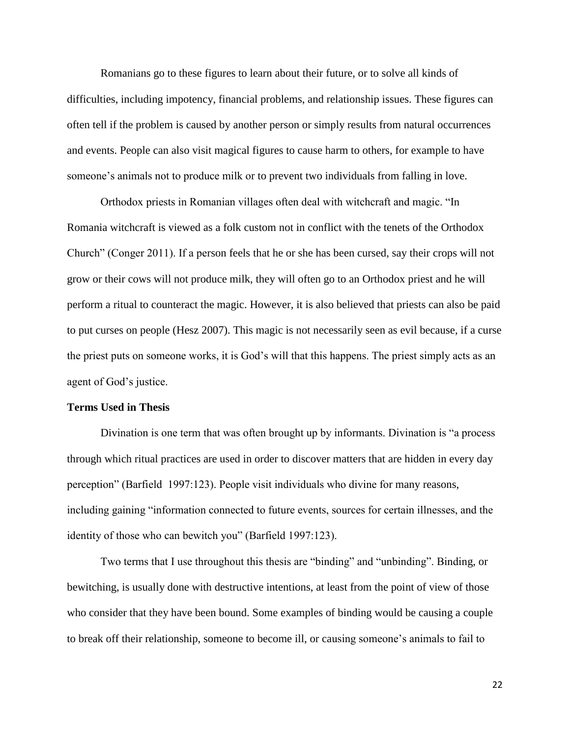Romanians go to these figures to learn about their future, or to solve all kinds of difficulties, including impotency, financial problems, and relationship issues. These figures can often tell if the problem is caused by another person or simply results from natural occurrences and events. People can also visit magical figures to cause harm to others, for example to have someone's animals not to produce milk or to prevent two individuals from falling in love.

Orthodox priests in Romanian villages often deal with witchcraft and magic. "In Romania witchcraft is viewed as a folk custom not in conflict with the tenets of the Orthodox Church" (Conger 2011). If a person feels that he or she has been cursed, say their crops will not grow or their cows will not produce milk, they will often go to an Orthodox priest and he will perform a ritual to counteract the magic. However, it is also believed that priests can also be paid to put curses on people (Hesz 2007). This magic is not necessarily seen as evil because, if a curse the priest puts on someone works, it is God's will that this happens. The priest simply acts as an agent of God's justice.

## **Terms Used in Thesis**

Divination is one term that was often brought up by informants. Divination is "a process through which ritual practices are used in order to discover matters that are hidden in every day perception" (Barfield 1997:123). People visit individuals who divine for many reasons, including gaining "information connected to future events, sources for certain illnesses, and the identity of those who can bewitch you" (Barfield 1997:123).

Two terms that I use throughout this thesis are "binding" and "unbinding". Binding, or bewitching, is usually done with destructive intentions, at least from the point of view of those who consider that they have been bound. Some examples of binding would be causing a couple to break off their relationship, someone to become ill, or causing someone's animals to fail to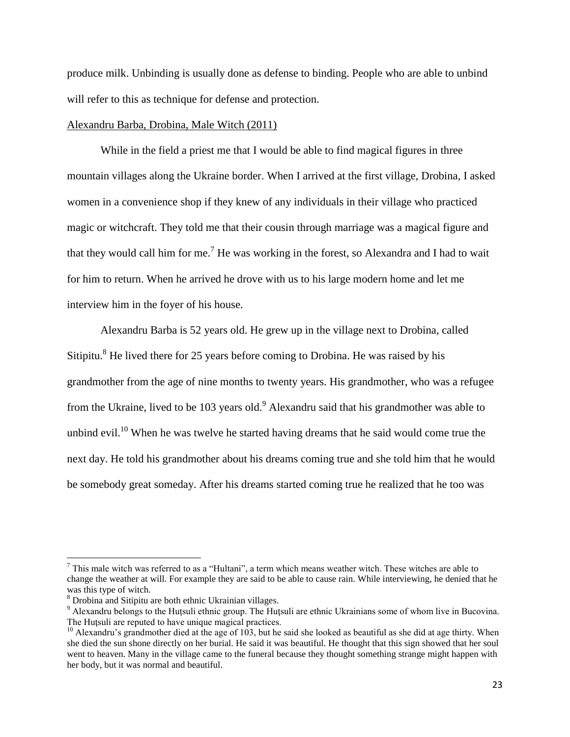produce milk. Unbinding is usually done as defense to binding. People who are able to unbind will refer to this as technique for defense and protection.

#### Alexandru Barba, Drobina, Male Witch (2011)

While in the field a priest me that I would be able to find magical figures in three mountain villages along the Ukraine border. When I arrived at the first village, Drobina, I asked women in a convenience shop if they knew of any individuals in their village who practiced magic or witchcraft. They told me that their cousin through marriage was a magical figure and that they would call him for me.<sup>7</sup> He was working in the forest, so Alexandra and I had to wait for him to return. When he arrived he drove with us to his large modern home and let me interview him in the foyer of his house.

Alexandru Barba is 52 years old. He grew up in the village next to Drobina, called Sitipitu.<sup>8</sup> He lived there for 25 years before coming to Drobina. He was raised by his grandmother from the age of nine months to twenty years. His grandmother, who was a refugee from the Ukraine, lived to be  $103$  years old.<sup>9</sup> Alexandru said that his grandmother was able to unbind evil.<sup>10</sup> When he was twelve he started having dreams that he said would come true the next day. He told his grandmother about his dreams coming true and she told him that he would be somebody great someday. After his dreams started coming true he realized that he too was

 $<sup>7</sup>$  This male witch was referred to as a "Hultani", a term which means weather witch. These witches are able to</sup> change the weather at will. For example they are said to be able to cause rain. While interviewing, he denied that he was this type of witch.

<sup>8</sup> Drobina and Sitipitu are both ethnic Ukrainian villages.

<sup>&</sup>lt;sup>9</sup> Alexandru belongs to the Hutsuli ethnic group. The Hutsuli are ethnic Ukrainians some of whom live in Bucovina. The Hutsuli are reputed to have unique magical practices.

 $10$  Alexandru's grandmother died at the age of 103, but he said she looked as beautiful as she did at age thirty. When she died the sun shone directly on her burial. He said it was beautiful. He thought that this sign showed that her soul went to heaven. Many in the village came to the funeral because they thought something strange might happen with her body, but it was normal and beautiful.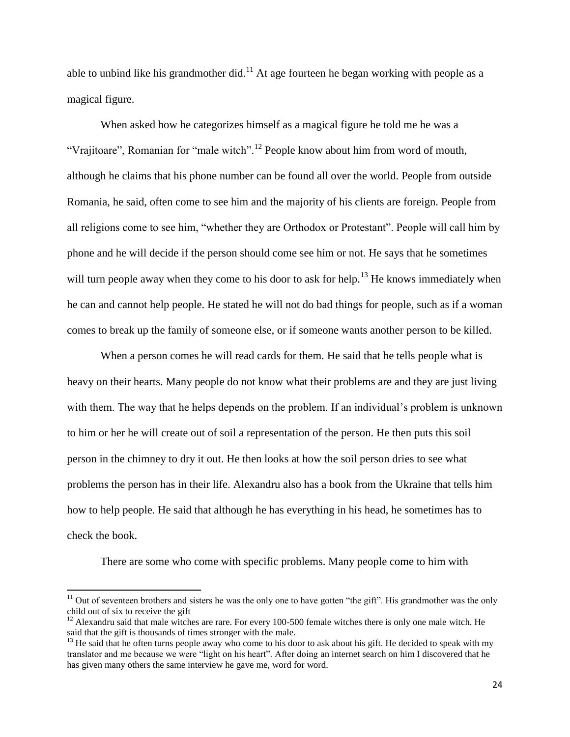able to unbind like his grandmother did.<sup>11</sup> At age fourteen he began working with people as a magical figure.

When asked how he categorizes himself as a magical figure he told me he was a "Vrajitoare", Romanian for "male witch".<sup>12</sup> People know about him from word of mouth, although he claims that his phone number can be found all over the world. People from outside Romania, he said, often come to see him and the majority of his clients are foreign. People from all religions come to see him, "whether they are Orthodox or Protestant". People will call him by phone and he will decide if the person should come see him or not. He says that he sometimes will turn people away when they come to his door to ask for help.<sup>13</sup> He knows immediately when he can and cannot help people. He stated he will not do bad things for people, such as if a woman comes to break up the family of someone else, or if someone wants another person to be killed.

When a person comes he will read cards for them. He said that he tells people what is heavy on their hearts. Many people do not know what their problems are and they are just living with them. The way that he helps depends on the problem. If an individual's problem is unknown to him or her he will create out of soil a representation of the person. He then puts this soil person in the chimney to dry it out. He then looks at how the soil person dries to see what problems the person has in their life. Alexandru also has a book from the Ukraine that tells him how to help people. He said that although he has everything in his head, he sometimes has to check the book.

There are some who come with specific problems. Many people come to him with

 $11$  Out of seventeen brothers and sisters he was the only one to have gotten "the gift". His grandmother was the only child out of six to receive the gift

<sup>&</sup>lt;sup>12</sup> Alexandru said that male witches are rare. For every 100-500 female witches there is only one male witch. He said that the gift is thousands of times stronger with the male.

 $13$  He said that he often turns people away who come to his door to ask about his gift. He decided to speak with my translator and me because we were "light on his heart". After doing an internet search on him I discovered that he has given many others the same interview he gave me, word for word.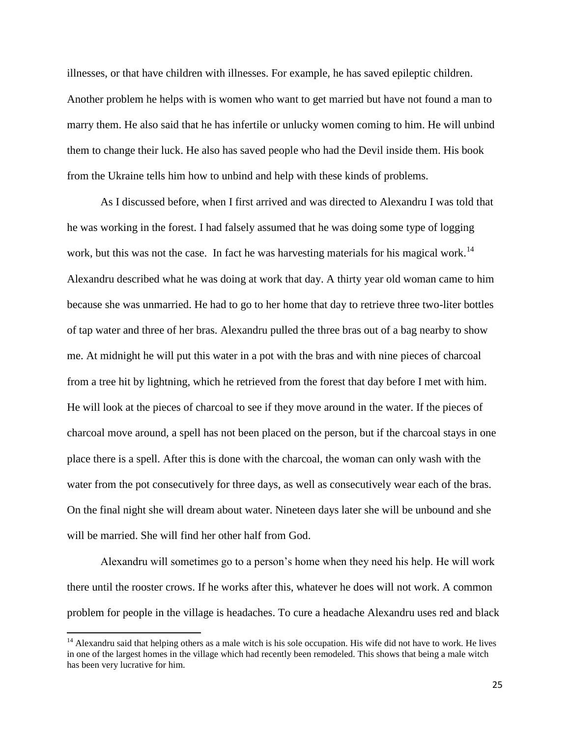illnesses, or that have children with illnesses. For example, he has saved epileptic children. Another problem he helps with is women who want to get married but have not found a man to marry them. He also said that he has infertile or unlucky women coming to him. He will unbind them to change their luck. He also has saved people who had the Devil inside them. His book from the Ukraine tells him how to unbind and help with these kinds of problems.

As I discussed before, when I first arrived and was directed to Alexandru I was told that he was working in the forest. I had falsely assumed that he was doing some type of logging work, but this was not the case. In fact he was harvesting materials for his magical work.<sup>14</sup> Alexandru described what he was doing at work that day. A thirty year old woman came to him because she was unmarried. He had to go to her home that day to retrieve three two-liter bottles of tap water and three of her bras. Alexandru pulled the three bras out of a bag nearby to show me. At midnight he will put this water in a pot with the bras and with nine pieces of charcoal from a tree hit by lightning, which he retrieved from the forest that day before I met with him. He will look at the pieces of charcoal to see if they move around in the water. If the pieces of charcoal move around, a spell has not been placed on the person, but if the charcoal stays in one place there is a spell. After this is done with the charcoal, the woman can only wash with the water from the pot consecutively for three days, as well as consecutively wear each of the bras. On the final night she will dream about water. Nineteen days later she will be unbound and she will be married. She will find her other half from God.

Alexandru will sometimes go to a person's home when they need his help. He will work there until the rooster crows. If he works after this, whatever he does will not work. A common problem for people in the village is headaches. To cure a headache Alexandru uses red and black

 $14$  Alexandru said that helping others as a male witch is his sole occupation. His wife did not have to work. He lives in one of the largest homes in the village which had recently been remodeled. This shows that being a male witch has been very lucrative for him.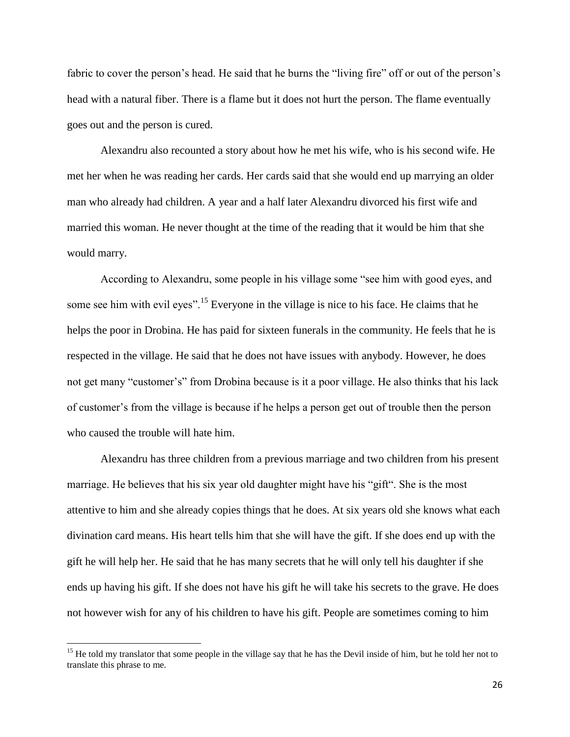fabric to cover the person's head. He said that he burns the "living fire" off or out of the person's head with a natural fiber. There is a flame but it does not hurt the person. The flame eventually goes out and the person is cured.

Alexandru also recounted a story about how he met his wife, who is his second wife. He met her when he was reading her cards. Her cards said that she would end up marrying an older man who already had children. A year and a half later Alexandru divorced his first wife and married this woman. He never thought at the time of the reading that it would be him that she would marry.

According to Alexandru, some people in his village some "see him with good eyes, and some see him with evil eyes".<sup>15</sup> Everyone in the village is nice to his face. He claims that he helps the poor in Drobina. He has paid for sixteen funerals in the community. He feels that he is respected in the village. He said that he does not have issues with anybody. However, he does not get many "customer's" from Drobina because is it a poor village. He also thinks that his lack of customer's from the village is because if he helps a person get out of trouble then the person who caused the trouble will hate him.

Alexandru has three children from a previous marriage and two children from his present marriage. He believes that his six year old daughter might have his "gift". She is the most attentive to him and she already copies things that he does. At six years old she knows what each divination card means. His heart tells him that she will have the gift. If she does end up with the gift he will help her. He said that he has many secrets that he will only tell his daughter if she ends up having his gift. If she does not have his gift he will take his secrets to the grave. He does not however wish for any of his children to have his gift. People are sometimes coming to him

<sup>&</sup>lt;sup>15</sup> He told my translator that some people in the village say that he has the Devil inside of him, but he told her not to translate this phrase to me.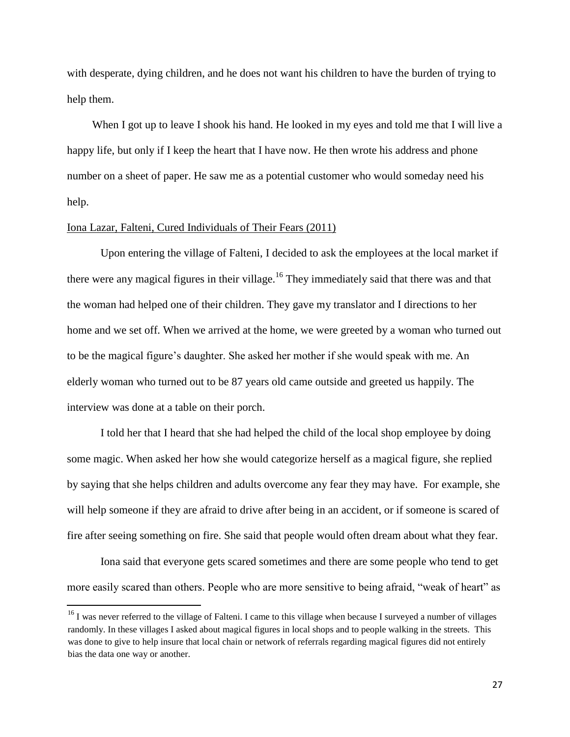with desperate, dying children, and he does not want his children to have the burden of trying to help them.

When I got up to leave I shook his hand. He looked in my eyes and told me that I will live a happy life, but only if I keep the heart that I have now. He then wrote his address and phone number on a sheet of paper. He saw me as a potential customer who would someday need his help.

## Iona Lazar, Falteni, Cured Individuals of Their Fears (2011)

l

Upon entering the village of Falteni, I decided to ask the employees at the local market if there were any magical figures in their village.<sup>16</sup> They immediately said that there was and that the woman had helped one of their children. They gave my translator and I directions to her home and we set off. When we arrived at the home, we were greeted by a woman who turned out to be the magical figure's daughter. She asked her mother if she would speak with me. An elderly woman who turned out to be 87 years old came outside and greeted us happily. The interview was done at a table on their porch.

I told her that I heard that she had helped the child of the local shop employee by doing some magic. When asked her how she would categorize herself as a magical figure, she replied by saying that she helps children and adults overcome any fear they may have. For example, she will help someone if they are afraid to drive after being in an accident, or if someone is scared of fire after seeing something on fire. She said that people would often dream about what they fear.

Iona said that everyone gets scared sometimes and there are some people who tend to get more easily scared than others. People who are more sensitive to being afraid, "weak of heart" as

<sup>&</sup>lt;sup>16</sup> I was never referred to the village of Falteni. I came to this village when because I surveyed a number of villages randomly. In these villages I asked about magical figures in local shops and to people walking in the streets. This was done to give to help insure that local chain or network of referrals regarding magical figures did not entirely bias the data one way or another.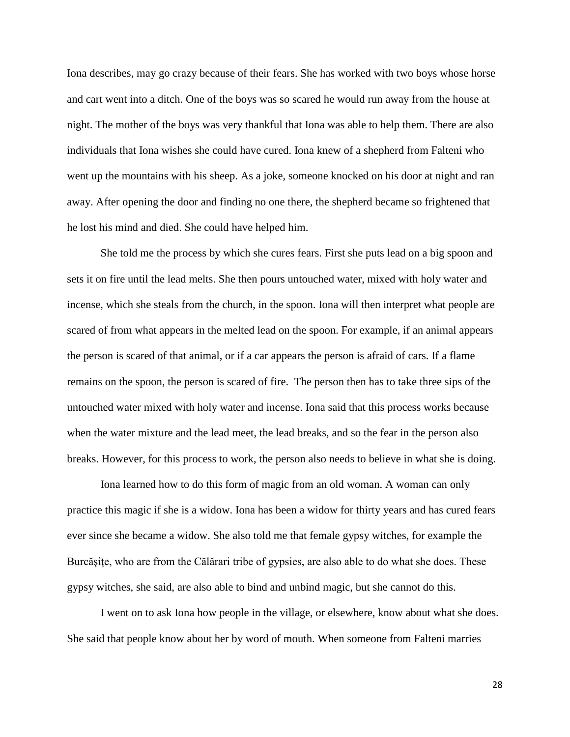Iona describes, may go crazy because of their fears. She has worked with two boys whose horse and cart went into a ditch. One of the boys was so scared he would run away from the house at night. The mother of the boys was very thankful that Iona was able to help them. There are also individuals that Iona wishes she could have cured. Iona knew of a shepherd from Falteni who went up the mountains with his sheep. As a joke, someone knocked on his door at night and ran away. After opening the door and finding no one there, the shepherd became so frightened that he lost his mind and died. She could have helped him.

She told me the process by which she cures fears. First she puts lead on a big spoon and sets it on fire until the lead melts. She then pours untouched water, mixed with holy water and incense, which she steals from the church, in the spoon. Iona will then interpret what people are scared of from what appears in the melted lead on the spoon. For example, if an animal appears the person is scared of that animal, or if a car appears the person is afraid of cars. If a flame remains on the spoon, the person is scared of fire. The person then has to take three sips of the untouched water mixed with holy water and incense. Iona said that this process works because when the water mixture and the lead meet, the lead breaks, and so the fear in the person also breaks. However, for this process to work, the person also needs to believe in what she is doing.

Iona learned how to do this form of magic from an old woman. A woman can only practice this magic if she is a widow. Iona has been a widow for thirty years and has cured fears ever since she became a widow. She also told me that female gypsy witches, for example the Burcășițe, who are from the Călărari tribe of gypsies, are also able to do what she does. These gypsy witches, she said, are also able to bind and unbind magic, but she cannot do this.

I went on to ask Iona how people in the village, or elsewhere, know about what she does. She said that people know about her by word of mouth. When someone from Falteni marries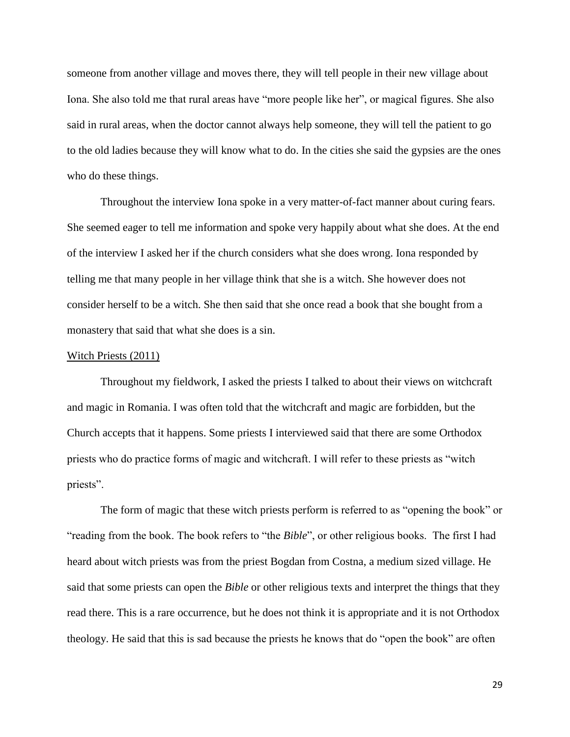someone from another village and moves there, they will tell people in their new village about Iona. She also told me that rural areas have "more people like her", or magical figures. She also said in rural areas, when the doctor cannot always help someone, they will tell the patient to go to the old ladies because they will know what to do. In the cities she said the gypsies are the ones who do these things.

Throughout the interview Iona spoke in a very matter-of-fact manner about curing fears. She seemed eager to tell me information and spoke very happily about what she does. At the end of the interview I asked her if the church considers what she does wrong. Iona responded by telling me that many people in her village think that she is a witch. She however does not consider herself to be a witch. She then said that she once read a book that she bought from a monastery that said that what she does is a sin.

#### Witch Priests (2011)

Throughout my fieldwork, I asked the priests I talked to about their views on witchcraft and magic in Romania. I was often told that the witchcraft and magic are forbidden, but the Church accepts that it happens. Some priests I interviewed said that there are some Orthodox priests who do practice forms of magic and witchcraft. I will refer to these priests as "witch priests".

The form of magic that these witch priests perform is referred to as "opening the book" or "reading from the book. The book refers to "the *Bible*", or other religious books. The first I had heard about witch priests was from the priest Bogdan from Costna, a medium sized village. He said that some priests can open the *Bible* or other religious texts and interpret the things that they read there. This is a rare occurrence, but he does not think it is appropriate and it is not Orthodox theology. He said that this is sad because the priests he knows that do "open the book" are often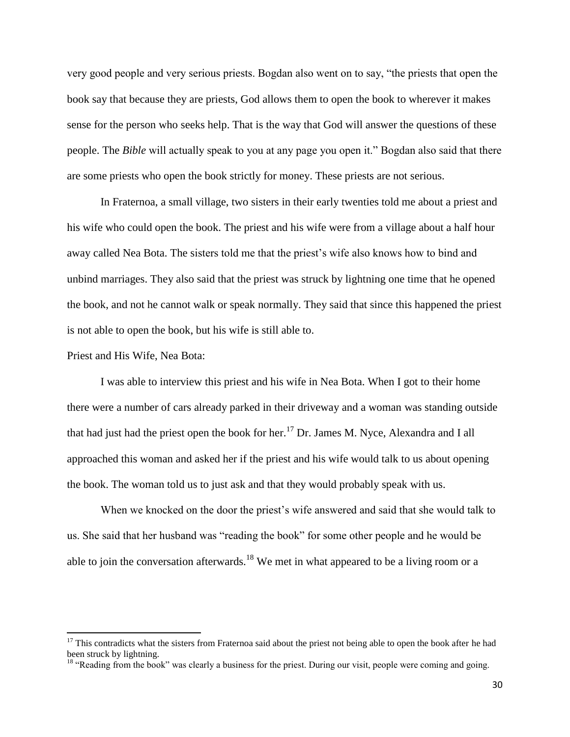very good people and very serious priests. Bogdan also went on to say, "the priests that open the book say that because they are priests, God allows them to open the book to wherever it makes sense for the person who seeks help. That is the way that God will answer the questions of these people. The *Bible* will actually speak to you at any page you open it." Bogdan also said that there are some priests who open the book strictly for money. These priests are not serious.

In Fraternoa, a small village, two sisters in their early twenties told me about a priest and his wife who could open the book. The priest and his wife were from a village about a half hour away called Nea Bota. The sisters told me that the priest's wife also knows how to bind and unbind marriages. They also said that the priest was struck by lightning one time that he opened the book, and not he cannot walk or speak normally. They said that since this happened the priest is not able to open the book, but his wife is still able to.

Priest and His Wife, Nea Bota:

 $\overline{\phantom{a}}$ 

I was able to interview this priest and his wife in Nea Bota. When I got to their home there were a number of cars already parked in their driveway and a woman was standing outside that had just had the priest open the book for her.<sup>17</sup> Dr. James M. Nyce, Alexandra and I all approached this woman and asked her if the priest and his wife would talk to us about opening the book. The woman told us to just ask and that they would probably speak with us.

When we knocked on the door the priest's wife answered and said that she would talk to us. She said that her husband was "reading the book" for some other people and he would be able to join the conversation afterwards.<sup>18</sup> We met in what appeared to be a living room or a

<sup>&</sup>lt;sup>17</sup> This contradicts what the sisters from Fraternoa said about the priest not being able to open the book after he had been struck by lightning.

<sup>&</sup>lt;sup>18</sup> "Reading from the book" was clearly a business for the priest. During our visit, people were coming and going.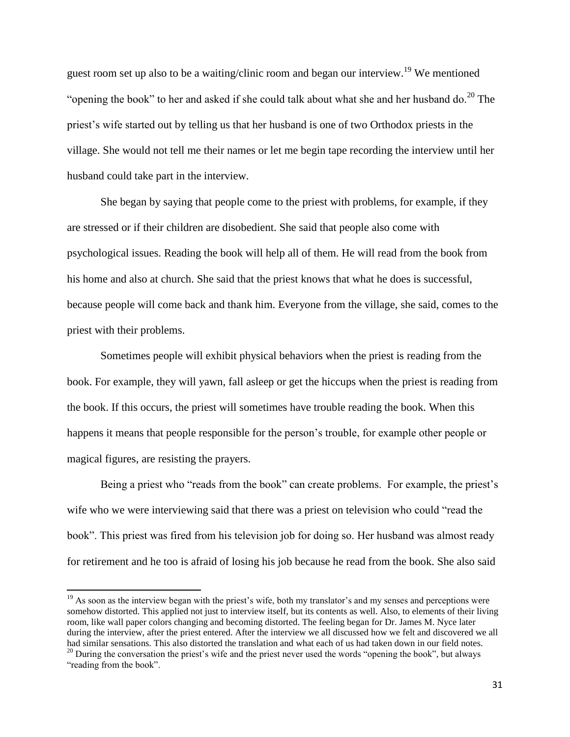guest room set up also to be a waiting/clinic room and began our interview.<sup>19</sup> We mentioned "opening the book" to her and asked if she could talk about what she and her husband do.<sup>20</sup> The priest's wife started out by telling us that her husband is one of two Orthodox priests in the village. She would not tell me their names or let me begin tape recording the interview until her husband could take part in the interview.

She began by saying that people come to the priest with problems, for example, if they are stressed or if their children are disobedient. She said that people also come with psychological issues. Reading the book will help all of them. He will read from the book from his home and also at church. She said that the priest knows that what he does is successful, because people will come back and thank him. Everyone from the village, she said, comes to the priest with their problems.

Sometimes people will exhibit physical behaviors when the priest is reading from the book. For example, they will yawn, fall asleep or get the hiccups when the priest is reading from the book. If this occurs, the priest will sometimes have trouble reading the book. When this happens it means that people responsible for the person's trouble, for example other people or magical figures, are resisting the prayers.

Being a priest who "reads from the book" can create problems. For example, the priest's wife who we were interviewing said that there was a priest on television who could "read the book". This priest was fired from his television job for doing so. Her husband was almost ready for retirement and he too is afraid of losing his job because he read from the book. She also said

 $19$  As soon as the interview began with the priest's wife, both my translator's and my senses and perceptions were somehow distorted. This applied not just to interview itself, but its contents as well. Also, to elements of their living room, like wall paper colors changing and becoming distorted. The feeling began for Dr. James M. Nyce later during the interview, after the priest entered. After the interview we all discussed how we felt and discovered we all had similar sensations. This also distorted the translation and what each of us had taken down in our field notes.

 $20$  During the conversation the priest's wife and the priest never used the words "opening the book", but always "reading from the book".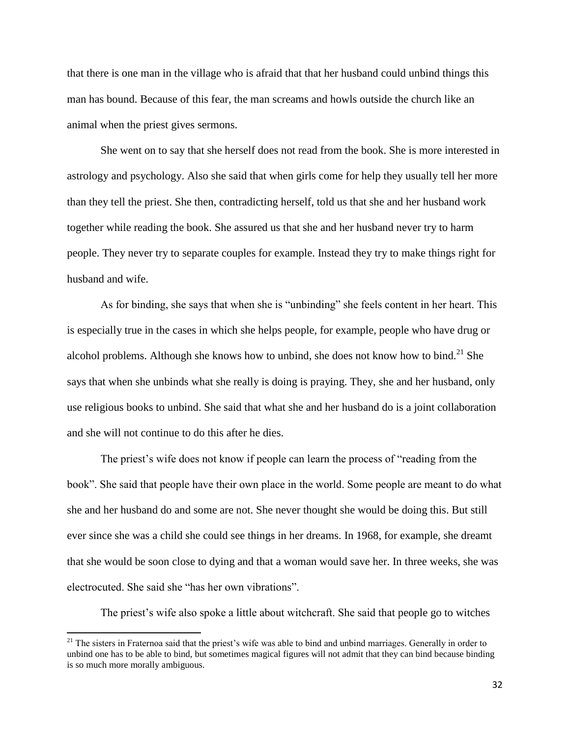that there is one man in the village who is afraid that that her husband could unbind things this man has bound. Because of this fear, the man screams and howls outside the church like an animal when the priest gives sermons.

She went on to say that she herself does not read from the book. She is more interested in astrology and psychology. Also she said that when girls come for help they usually tell her more than they tell the priest. She then, contradicting herself, told us that she and her husband work together while reading the book. She assured us that she and her husband never try to harm people. They never try to separate couples for example. Instead they try to make things right for husband and wife.

As for binding, she says that when she is "unbinding" she feels content in her heart. This is especially true in the cases in which she helps people, for example, people who have drug or alcohol problems. Although she knows how to unbind, she does not know how to bind.<sup>21</sup> She says that when she unbinds what she really is doing is praying. They, she and her husband, only use religious books to unbind. She said that what she and her husband do is a joint collaboration and she will not continue to do this after he dies.

The priest's wife does not know if people can learn the process of "reading from the book". She said that people have their own place in the world. Some people are meant to do what she and her husband do and some are not. She never thought she would be doing this. But still ever since she was a child she could see things in her dreams. In 1968, for example, she dreamt that she would be soon close to dying and that a woman would save her. In three weeks, she was electrocuted. She said she "has her own vibrations".

The priest's wife also spoke a little about witchcraft. She said that people go to witches

 $21$  The sisters in Fraternoa said that the priest's wife was able to bind and unbind marriages. Generally in order to unbind one has to be able to bind, but sometimes magical figures will not admit that they can bind because binding is so much more morally ambiguous.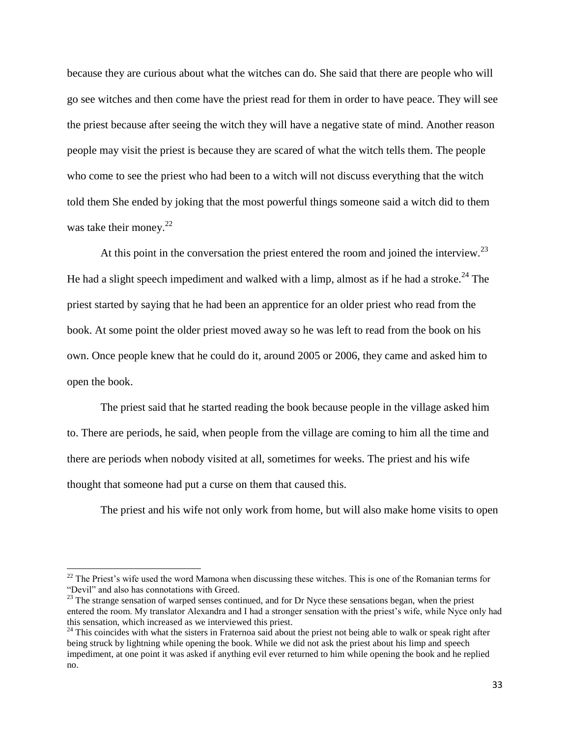because they are curious about what the witches can do. She said that there are people who will go see witches and then come have the priest read for them in order to have peace. They will see the priest because after seeing the witch they will have a negative state of mind. Another reason people may visit the priest is because they are scared of what the witch tells them. The people who come to see the priest who had been to a witch will not discuss everything that the witch told them She ended by joking that the most powerful things someone said a witch did to them was take their money. $^{22}$ 

At this point in the conversation the priest entered the room and joined the interview.<sup>23</sup> He had a slight speech impediment and walked with a limp, almost as if he had a stroke.<sup>24</sup> The priest started by saying that he had been an apprentice for an older priest who read from the book. At some point the older priest moved away so he was left to read from the book on his own. Once people knew that he could do it, around 2005 or 2006, they came and asked him to open the book.

The priest said that he started reading the book because people in the village asked him to. There are periods, he said, when people from the village are coming to him all the time and there are periods when nobody visited at all, sometimes for weeks. The priest and his wife thought that someone had put a curse on them that caused this.

The priest and his wife not only work from home, but will also make home visits to open

 $22$  The Priest's wife used the word Mamona when discussing these witches. This is one of the Romanian terms for "Devil" and also has connotations with Greed.

<sup>&</sup>lt;sup>23</sup> The strange sensation of warped senses continued, and for Dr Nyce these sensations began, when the priest entered the room. My translator Alexandra and I had a stronger sensation with the priest's wife, while Nyce only had this sensation, which increased as we interviewed this priest.

 $24$  This coincides with what the sisters in Fraternoa said about the priest not being able to walk or speak right after being struck by lightning while opening the book. While we did not ask the priest about his limp and speech impediment, at one point it was asked if anything evil ever returned to him while opening the book and he replied no.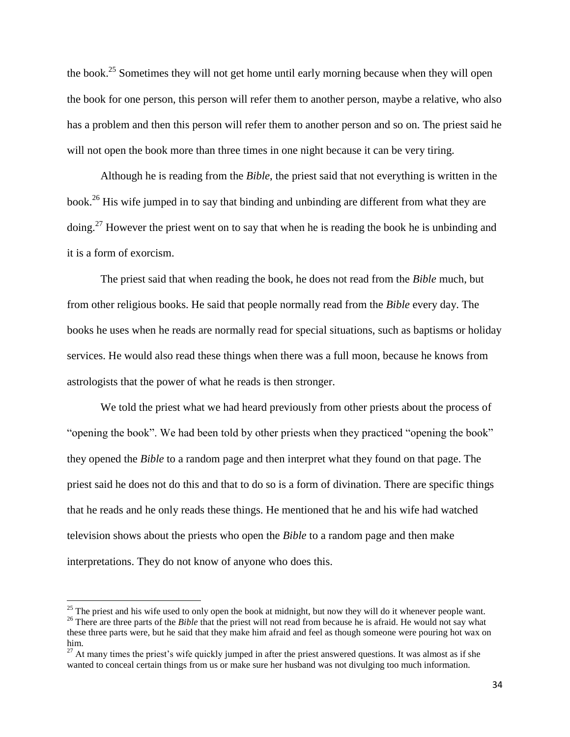the book.<sup>25</sup> Sometimes they will not get home until early morning because when they will open the book for one person, this person will refer them to another person, maybe a relative, who also has a problem and then this person will refer them to another person and so on. The priest said he will not open the book more than three times in one night because it can be very tiring.

Although he is reading from the *Bible*, the priest said that not everything is written in the book.<sup>26</sup> His wife jumped in to say that binding and unbinding are different from what they are doing.<sup>27</sup> However the priest went on to say that when he is reading the book he is unbinding and it is a form of exorcism.

The priest said that when reading the book, he does not read from the *Bible* much, but from other religious books. He said that people normally read from the *Bible* every day. The books he uses when he reads are normally read for special situations, such as baptisms or holiday services. He would also read these things when there was a full moon, because he knows from astrologists that the power of what he reads is then stronger.

We told the priest what we had heard previously from other priests about the process of "opening the book". We had been told by other priests when they practiced "opening the book" they opened the *Bible* to a random page and then interpret what they found on that page. The priest said he does not do this and that to do so is a form of divination. There are specific things that he reads and he only reads these things. He mentioned that he and his wife had watched television shows about the priests who open the *Bible* to a random page and then make interpretations. They do not know of anyone who does this.

l

 $25$  The priest and his wife used to only open the book at midnight, but now they will do it whenever people want. <sup>26</sup> There are three parts of the *Bible* that the priest will not read from because he is afraid. He would not say what these three parts were, but he said that they make him afraid and feel as though someone were pouring hot wax on him.

 $27$  At many times the priest's wife quickly jumped in after the priest answered questions. It was almost as if she wanted to conceal certain things from us or make sure her husband was not divulging too much information.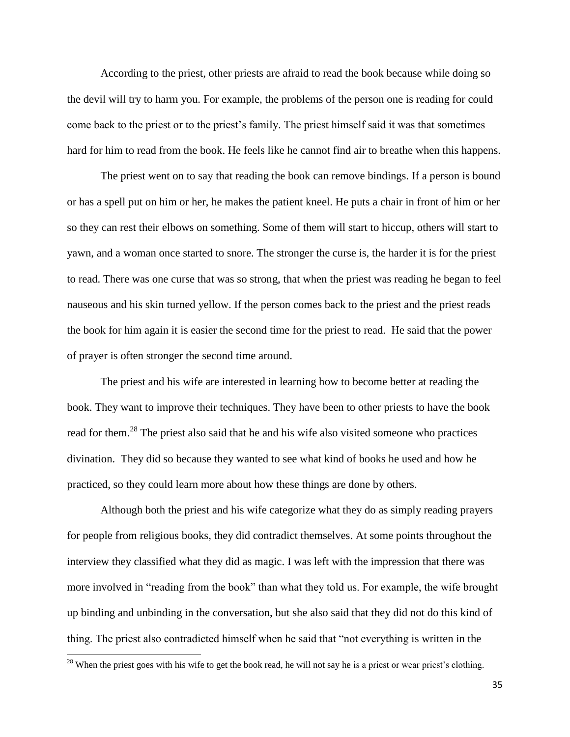According to the priest, other priests are afraid to read the book because while doing so the devil will try to harm you. For example, the problems of the person one is reading for could come back to the priest or to the priest's family. The priest himself said it was that sometimes hard for him to read from the book. He feels like he cannot find air to breathe when this happens.

The priest went on to say that reading the book can remove bindings. If a person is bound or has a spell put on him or her, he makes the patient kneel. He puts a chair in front of him or her so they can rest their elbows on something. Some of them will start to hiccup, others will start to yawn, and a woman once started to snore. The stronger the curse is, the harder it is for the priest to read. There was one curse that was so strong, that when the priest was reading he began to feel nauseous and his skin turned yellow. If the person comes back to the priest and the priest reads the book for him again it is easier the second time for the priest to read. He said that the power of prayer is often stronger the second time around.

The priest and his wife are interested in learning how to become better at reading the book. They want to improve their techniques. They have been to other priests to have the book read for them.<sup>28</sup> The priest also said that he and his wife also visited someone who practices divination. They did so because they wanted to see what kind of books he used and how he practiced, so they could learn more about how these things are done by others.

Although both the priest and his wife categorize what they do as simply reading prayers for people from religious books, they did contradict themselves. At some points throughout the interview they classified what they did as magic. I was left with the impression that there was more involved in "reading from the book" than what they told us. For example, the wife brought up binding and unbinding in the conversation, but she also said that they did not do this kind of thing. The priest also contradicted himself when he said that "not everything is written in the

 $28$  When the priest goes with his wife to get the book read, he will not say he is a priest or wear priest's clothing.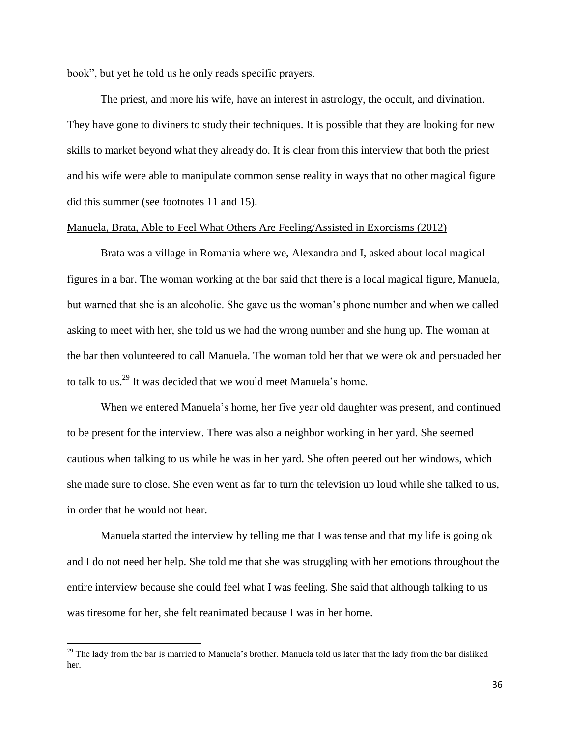book", but yet he told us he only reads specific prayers.

The priest, and more his wife, have an interest in astrology, the occult, and divination. They have gone to diviners to study their techniques. It is possible that they are looking for new skills to market beyond what they already do. It is clear from this interview that both the priest and his wife were able to manipulate common sense reality in ways that no other magical figure did this summer (see footnotes 11 and 15).

## Manuela, Brata, Able to Feel What Others Are Feeling/Assisted in Exorcisms (2012)

Brata was a village in Romania where we, Alexandra and I, asked about local magical figures in a bar. The woman working at the bar said that there is a local magical figure, Manuela, but warned that she is an alcoholic. She gave us the woman's phone number and when we called asking to meet with her, she told us we had the wrong number and she hung up. The woman at the bar then volunteered to call Manuela. The woman told her that we were ok and persuaded her to talk to us.<sup>29</sup> It was decided that we would meet Manuela's home.

When we entered Manuela's home, her five year old daughter was present, and continued to be present for the interview. There was also a neighbor working in her yard. She seemed cautious when talking to us while he was in her yard. She often peered out her windows, which she made sure to close. She even went as far to turn the television up loud while she talked to us, in order that he would not hear.

Manuela started the interview by telling me that I was tense and that my life is going ok and I do not need her help. She told me that she was struggling with her emotions throughout the entire interview because she could feel what I was feeling. She said that although talking to us was tiresome for her, she felt reanimated because I was in her home.

 $29$  The lady from the bar is married to Manuela's brother. Manuela told us later that the lady from the bar disliked her.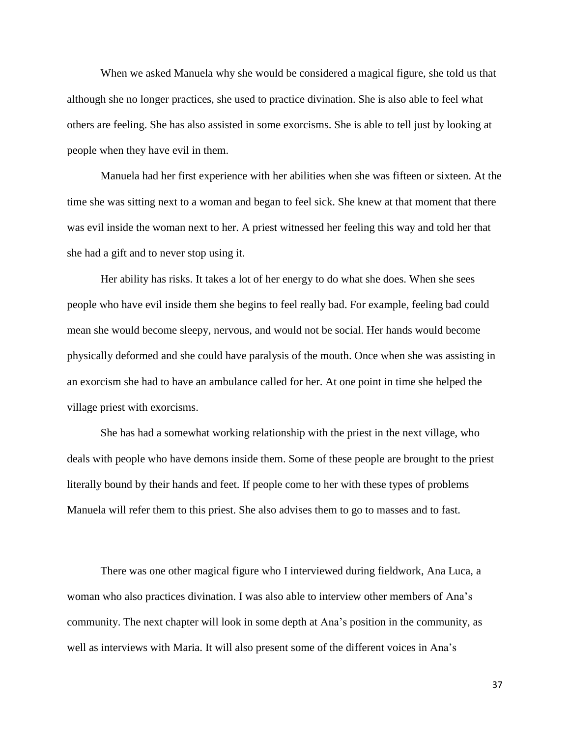When we asked Manuela why she would be considered a magical figure, she told us that although she no longer practices, she used to practice divination. She is also able to feel what others are feeling. She has also assisted in some exorcisms. She is able to tell just by looking at people when they have evil in them.

Manuela had her first experience with her abilities when she was fifteen or sixteen. At the time she was sitting next to a woman and began to feel sick. She knew at that moment that there was evil inside the woman next to her. A priest witnessed her feeling this way and told her that she had a gift and to never stop using it.

Her ability has risks. It takes a lot of her energy to do what she does. When she sees people who have evil inside them she begins to feel really bad. For example, feeling bad could mean she would become sleepy, nervous, and would not be social. Her hands would become physically deformed and she could have paralysis of the mouth. Once when she was assisting in an exorcism she had to have an ambulance called for her. At one point in time she helped the village priest with exorcisms.

She has had a somewhat working relationship with the priest in the next village, who deals with people who have demons inside them. Some of these people are brought to the priest literally bound by their hands and feet. If people come to her with these types of problems Manuela will refer them to this priest. She also advises them to go to masses and to fast.

There was one other magical figure who I interviewed during fieldwork, Ana Luca, a woman who also practices divination. I was also able to interview other members of Ana's community. The next chapter will look in some depth at Ana's position in the community, as well as interviews with Maria. It will also present some of the different voices in Ana's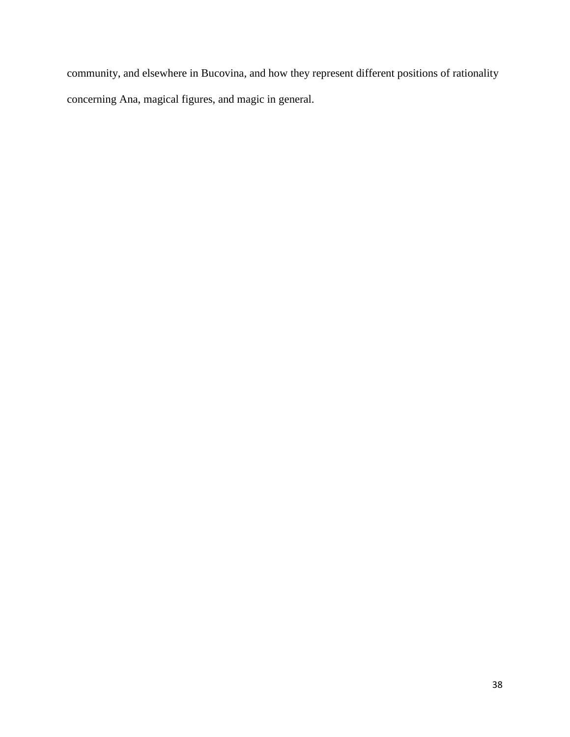community, and elsewhere in Bucovina, and how they represent different positions of rationality concerning Ana, magical figures, and magic in general.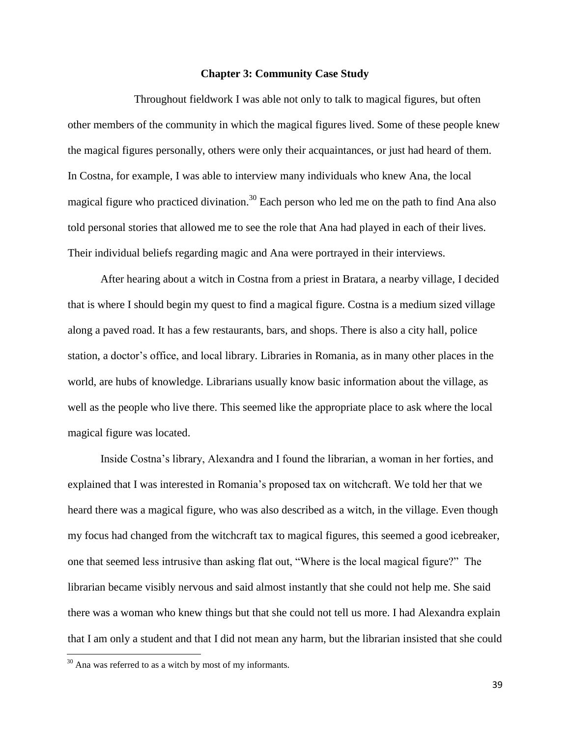#### **Chapter 3: Community Case Study**

Throughout fieldwork I was able not only to talk to magical figures, but often other members of the community in which the magical figures lived. Some of these people knew the magical figures personally, others were only their acquaintances, or just had heard of them. In Costna, for example, I was able to interview many individuals who knew Ana, the local magical figure who practiced divination.<sup>30</sup> Each person who led me on the path to find Ana also told personal stories that allowed me to see the role that Ana had played in each of their lives. Their individual beliefs regarding magic and Ana were portrayed in their interviews.

After hearing about a witch in Costna from a priest in Bratara, a nearby village, I decided that is where I should begin my quest to find a magical figure. Costna is a medium sized village along a paved road. It has a few restaurants, bars, and shops. There is also a city hall, police station, a doctor's office, and local library. Libraries in Romania, as in many other places in the world, are hubs of knowledge. Librarians usually know basic information about the village, as well as the people who live there. This seemed like the appropriate place to ask where the local magical figure was located.

Inside Costna's library, Alexandra and I found the librarian, a woman in her forties, and explained that I was interested in Romania's proposed tax on witchcraft. We told her that we heard there was a magical figure, who was also described as a witch, in the village. Even though my focus had changed from the witchcraft tax to magical figures, this seemed a good icebreaker, one that seemed less intrusive than asking flat out, "Where is the local magical figure?" The librarian became visibly nervous and said almost instantly that she could not help me. She said there was a woman who knew things but that she could not tell us more. I had Alexandra explain that I am only a student and that I did not mean any harm, but the librarian insisted that she could

 $30$  Ana was referred to as a witch by most of my informants.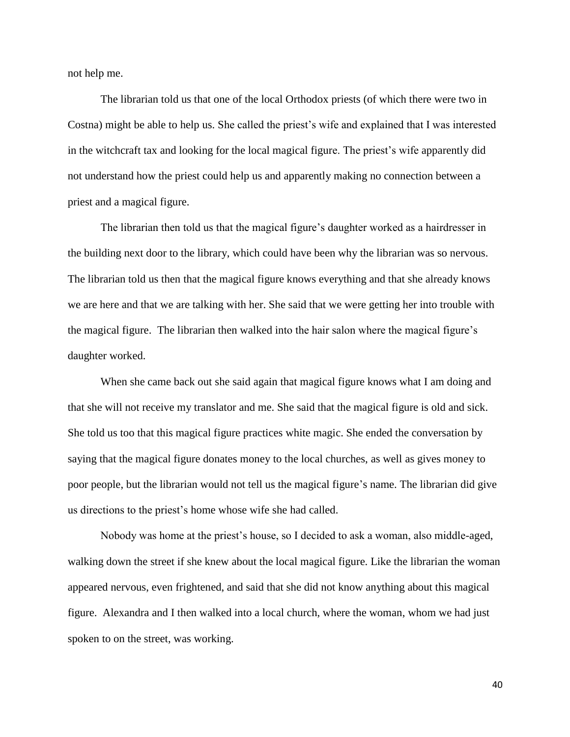not help me.

The librarian told us that one of the local Orthodox priests (of which there were two in Costna) might be able to help us. She called the priest's wife and explained that I was interested in the witchcraft tax and looking for the local magical figure. The priest's wife apparently did not understand how the priest could help us and apparently making no connection between a priest and a magical figure.

The librarian then told us that the magical figure's daughter worked as a hairdresser in the building next door to the library, which could have been why the librarian was so nervous. The librarian told us then that the magical figure knows everything and that she already knows we are here and that we are talking with her. She said that we were getting her into trouble with the magical figure. The librarian then walked into the hair salon where the magical figure's daughter worked.

When she came back out she said again that magical figure knows what I am doing and that she will not receive my translator and me. She said that the magical figure is old and sick. She told us too that this magical figure practices white magic. She ended the conversation by saying that the magical figure donates money to the local churches, as well as gives money to poor people, but the librarian would not tell us the magical figure's name. The librarian did give us directions to the priest's home whose wife she had called.

Nobody was home at the priest's house, so I decided to ask a woman, also middle-aged, walking down the street if she knew about the local magical figure. Like the librarian the woman appeared nervous, even frightened, and said that she did not know anything about this magical figure. Alexandra and I then walked into a local church, where the woman, whom we had just spoken to on the street, was working.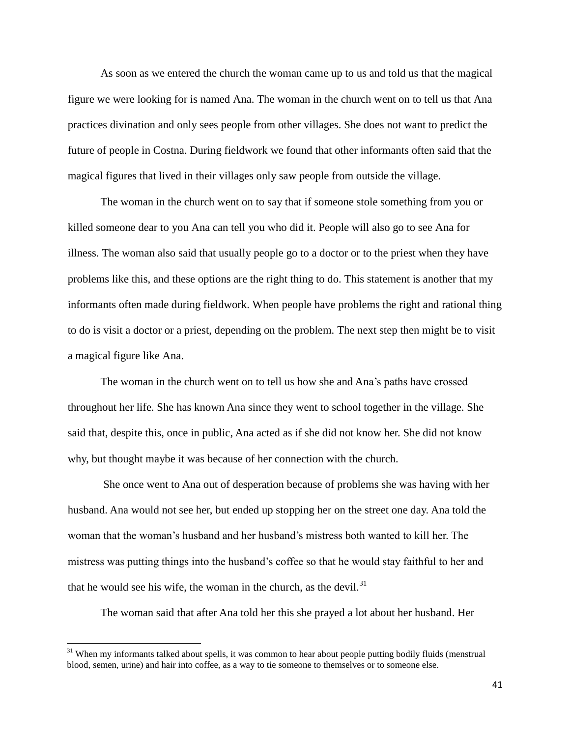As soon as we entered the church the woman came up to us and told us that the magical figure we were looking for is named Ana. The woman in the church went on to tell us that Ana practices divination and only sees people from other villages. She does not want to predict the future of people in Costna. During fieldwork we found that other informants often said that the magical figures that lived in their villages only saw people from outside the village.

The woman in the church went on to say that if someone stole something from you or killed someone dear to you Ana can tell you who did it. People will also go to see Ana for illness. The woman also said that usually people go to a doctor or to the priest when they have problems like this, and these options are the right thing to do. This statement is another that my informants often made during fieldwork. When people have problems the right and rational thing to do is visit a doctor or a priest, depending on the problem. The next step then might be to visit a magical figure like Ana.

The woman in the church went on to tell us how she and Ana's paths have crossed throughout her life. She has known Ana since they went to school together in the village. She said that, despite this, once in public, Ana acted as if she did not know her. She did not know why, but thought maybe it was because of her connection with the church.

She once went to Ana out of desperation because of problems she was having with her husband. Ana would not see her, but ended up stopping her on the street one day. Ana told the woman that the woman's husband and her husband's mistress both wanted to kill her. The mistress was putting things into the husband's coffee so that he would stay faithful to her and that he would see his wife, the woman in the church, as the devil. $31$ 

The woman said that after Ana told her this she prayed a lot about her husband. Her

<sup>&</sup>lt;sup>31</sup> When my informants talked about spells, it was common to hear about people putting bodily fluids (menstrual blood, semen, urine) and hair into coffee, as a way to tie someone to themselves or to someone else.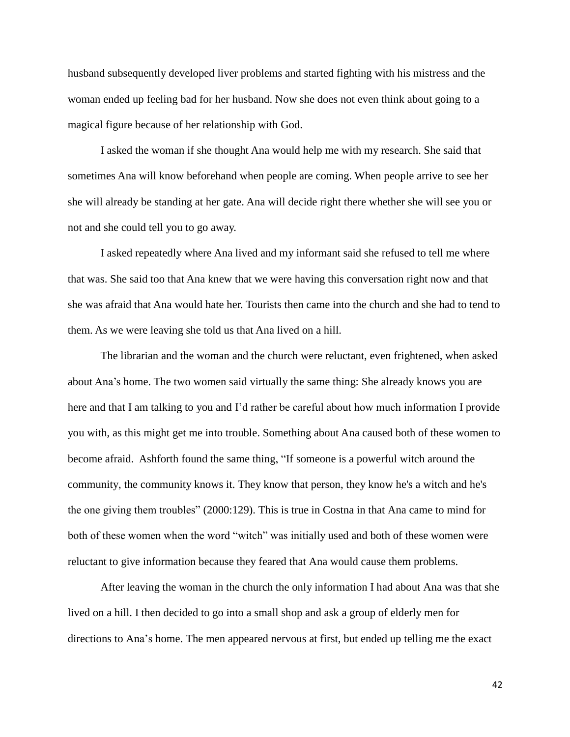husband subsequently developed liver problems and started fighting with his mistress and the woman ended up feeling bad for her husband. Now she does not even think about going to a magical figure because of her relationship with God.

I asked the woman if she thought Ana would help me with my research. She said that sometimes Ana will know beforehand when people are coming. When people arrive to see her she will already be standing at her gate. Ana will decide right there whether she will see you or not and she could tell you to go away.

I asked repeatedly where Ana lived and my informant said she refused to tell me where that was. She said too that Ana knew that we were having this conversation right now and that she was afraid that Ana would hate her. Tourists then came into the church and she had to tend to them. As we were leaving she told us that Ana lived on a hill.

The librarian and the woman and the church were reluctant, even frightened, when asked about Ana's home. The two women said virtually the same thing: She already knows you are here and that I am talking to you and I'd rather be careful about how much information I provide you with, as this might get me into trouble. Something about Ana caused both of these women to become afraid. Ashforth found the same thing, "If someone is a powerful witch around the community, the community knows it. They know that person, they know he's a witch and he's the one giving them troubles" (2000:129). This is true in Costna in that Ana came to mind for both of these women when the word "witch" was initially used and both of these women were reluctant to give information because they feared that Ana would cause them problems.

After leaving the woman in the church the only information I had about Ana was that she lived on a hill. I then decided to go into a small shop and ask a group of elderly men for directions to Ana's home. The men appeared nervous at first, but ended up telling me the exact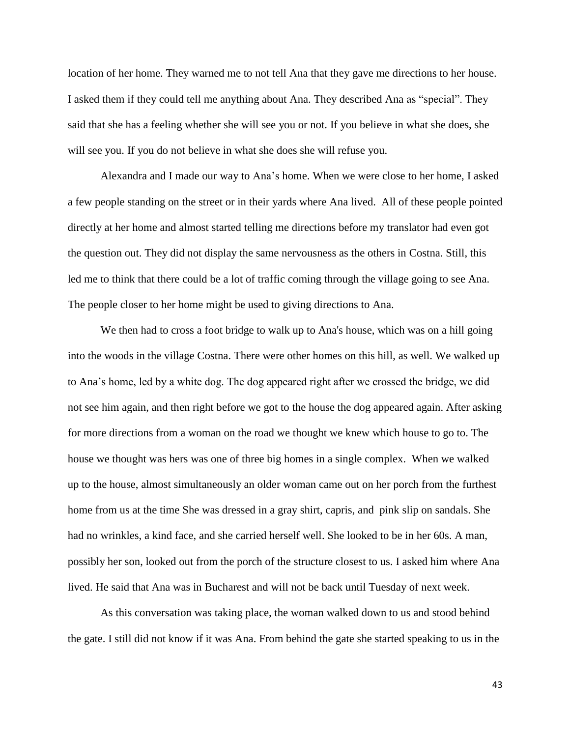location of her home. They warned me to not tell Ana that they gave me directions to her house. I asked them if they could tell me anything about Ana. They described Ana as "special". They said that she has a feeling whether she will see you or not. If you believe in what she does, she will see you. If you do not believe in what she does she will refuse you.

Alexandra and I made our way to Ana's home. When we were close to her home, I asked a few people standing on the street or in their yards where Ana lived. All of these people pointed directly at her home and almost started telling me directions before my translator had even got the question out. They did not display the same nervousness as the others in Costna. Still, this led me to think that there could be a lot of traffic coming through the village going to see Ana. The people closer to her home might be used to giving directions to Ana.

We then had to cross a foot bridge to walk up to Ana's house, which was on a hill going into the woods in the village Costna. There were other homes on this hill, as well. We walked up to Ana's home, led by a white dog. The dog appeared right after we crossed the bridge, we did not see him again, and then right before we got to the house the dog appeared again. After asking for more directions from a woman on the road we thought we knew which house to go to. The house we thought was hers was one of three big homes in a single complex. When we walked up to the house, almost simultaneously an older woman came out on her porch from the furthest home from us at the time She was dressed in a gray shirt, capris, and pink slip on sandals. She had no wrinkles, a kind face, and she carried herself well. She looked to be in her 60s. A man, possibly her son, looked out from the porch of the structure closest to us. I asked him where Ana lived. He said that Ana was in Bucharest and will not be back until Tuesday of next week.

As this conversation was taking place, the woman walked down to us and stood behind the gate. I still did not know if it was Ana. From behind the gate she started speaking to us in the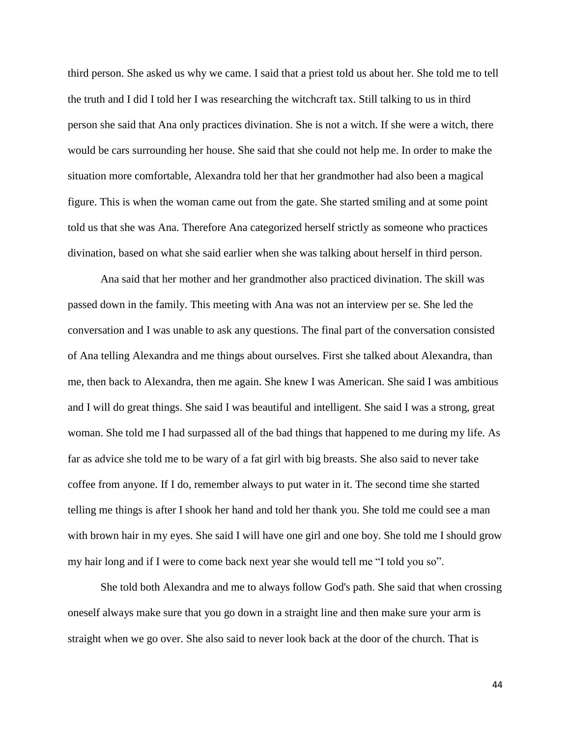third person. She asked us why we came. I said that a priest told us about her. She told me to tell the truth and I did I told her I was researching the witchcraft tax. Still talking to us in third person she said that Ana only practices divination. She is not a witch. If she were a witch, there would be cars surrounding her house. She said that she could not help me. In order to make the situation more comfortable, Alexandra told her that her grandmother had also been a magical figure. This is when the woman came out from the gate. She started smiling and at some point told us that she was Ana. Therefore Ana categorized herself strictly as someone who practices divination, based on what she said earlier when she was talking about herself in third person.

Ana said that her mother and her grandmother also practiced divination. The skill was passed down in the family. This meeting with Ana was not an interview per se. She led the conversation and I was unable to ask any questions. The final part of the conversation consisted of Ana telling Alexandra and me things about ourselves. First she talked about Alexandra, than me, then back to Alexandra, then me again. She knew I was American. She said I was ambitious and I will do great things. She said I was beautiful and intelligent. She said I was a strong, great woman. She told me I had surpassed all of the bad things that happened to me during my life. As far as advice she told me to be wary of a fat girl with big breasts. She also said to never take coffee from anyone. If I do, remember always to put water in it. The second time she started telling me things is after I shook her hand and told her thank you. She told me could see a man with brown hair in my eyes. She said I will have one girl and one boy. She told me I should grow my hair long and if I were to come back next year she would tell me "I told you so".

She told both Alexandra and me to always follow God's path. She said that when crossing oneself always make sure that you go down in a straight line and then make sure your arm is straight when we go over. She also said to never look back at the door of the church. That is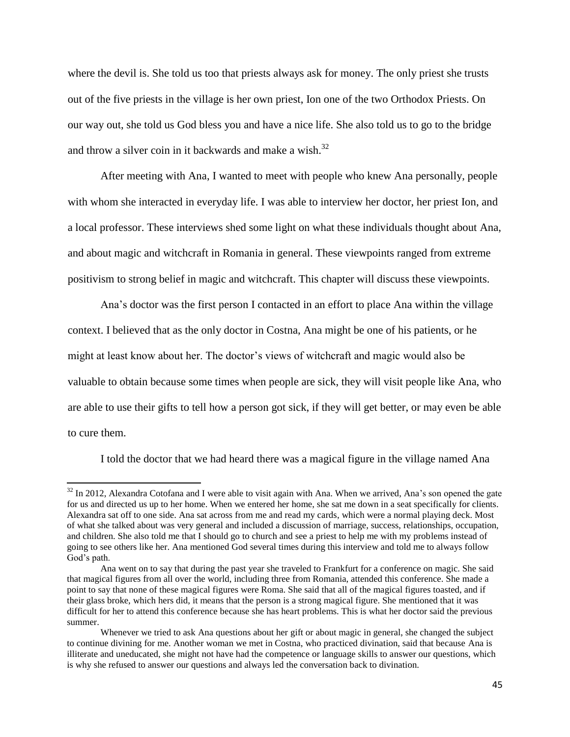where the devil is. She told us too that priests always ask for money. The only priest she trusts out of the five priests in the village is her own priest, Ion one of the two Orthodox Priests. On our way out, she told us God bless you and have a nice life. She also told us to go to the bridge and throw a silver coin in it backwards and make a wish. $32$ 

After meeting with Ana, I wanted to meet with people who knew Ana personally, people with whom she interacted in everyday life. I was able to interview her doctor, her priest Ion, and a local professor. These interviews shed some light on what these individuals thought about Ana, and about magic and witchcraft in Romania in general. These viewpoints ranged from extreme positivism to strong belief in magic and witchcraft. This chapter will discuss these viewpoints.

Ana's doctor was the first person I contacted in an effort to place Ana within the village context. I believed that as the only doctor in Costna, Ana might be one of his patients, or he might at least know about her. The doctor's views of witchcraft and magic would also be valuable to obtain because some times when people are sick, they will visit people like Ana, who are able to use their gifts to tell how a person got sick, if they will get better, or may even be able to cure them.

I told the doctor that we had heard there was a magical figure in the village named Ana

 $32$  In 2012, Alexandra Cotofana and I were able to visit again with Ana. When we arrived, Ana's son opened the gate for us and directed us up to her home. When we entered her home, she sat me down in a seat specifically for clients. Alexandra sat off to one side. Ana sat across from me and read my cards, which were a normal playing deck. Most of what she talked about was very general and included a discussion of marriage, success, relationships, occupation, and children. She also told me that I should go to church and see a priest to help me with my problems instead of going to see others like her. Ana mentioned God several times during this interview and told me to always follow God's path.

Ana went on to say that during the past year she traveled to Frankfurt for a conference on magic. She said that magical figures from all over the world, including three from Romania, attended this conference. She made a point to say that none of these magical figures were Roma. She said that all of the magical figures toasted, and if their glass broke, which hers did, it means that the person is a strong magical figure. She mentioned that it was difficult for her to attend this conference because she has heart problems. This is what her doctor said the previous summer.

Whenever we tried to ask Ana questions about her gift or about magic in general, she changed the subject to continue divining for me. Another woman we met in Costna, who practiced divination, said that because Ana is illiterate and uneducated, she might not have had the competence or language skills to answer our questions, which is why she refused to answer our questions and always led the conversation back to divination.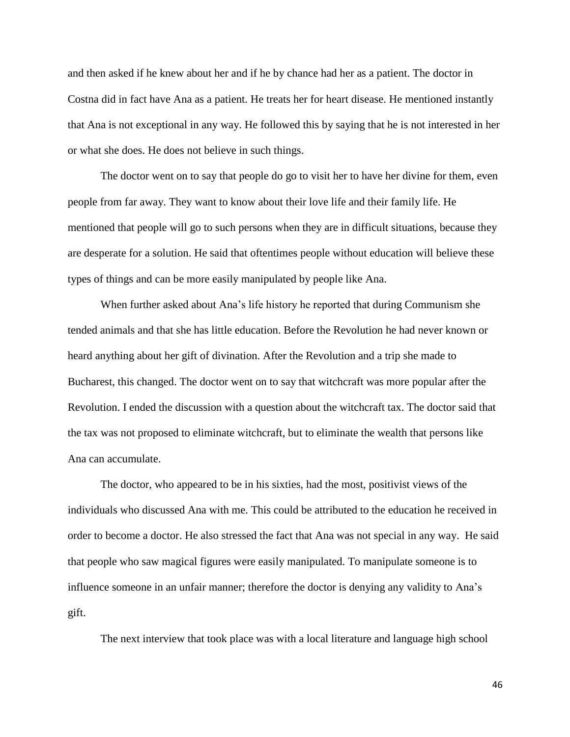and then asked if he knew about her and if he by chance had her as a patient. The doctor in Costna did in fact have Ana as a patient. He treats her for heart disease. He mentioned instantly that Ana is not exceptional in any way. He followed this by saying that he is not interested in her or what she does. He does not believe in such things.

The doctor went on to say that people do go to visit her to have her divine for them, even people from far away. They want to know about their love life and their family life. He mentioned that people will go to such persons when they are in difficult situations, because they are desperate for a solution. He said that oftentimes people without education will believe these types of things and can be more easily manipulated by people like Ana.

When further asked about Ana's life history he reported that during Communism she tended animals and that she has little education. Before the Revolution he had never known or heard anything about her gift of divination. After the Revolution and a trip she made to Bucharest, this changed. The doctor went on to say that witchcraft was more popular after the Revolution. I ended the discussion with a question about the witchcraft tax. The doctor said that the tax was not proposed to eliminate witchcraft, but to eliminate the wealth that persons like Ana can accumulate.

The doctor, who appeared to be in his sixties, had the most, positivist views of the individuals who discussed Ana with me. This could be attributed to the education he received in order to become a doctor. He also stressed the fact that Ana was not special in any way. He said that people who saw magical figures were easily manipulated. To manipulate someone is to influence someone in an unfair manner; therefore the doctor is denying any validity to Ana's gift.

The next interview that took place was with a local literature and language high school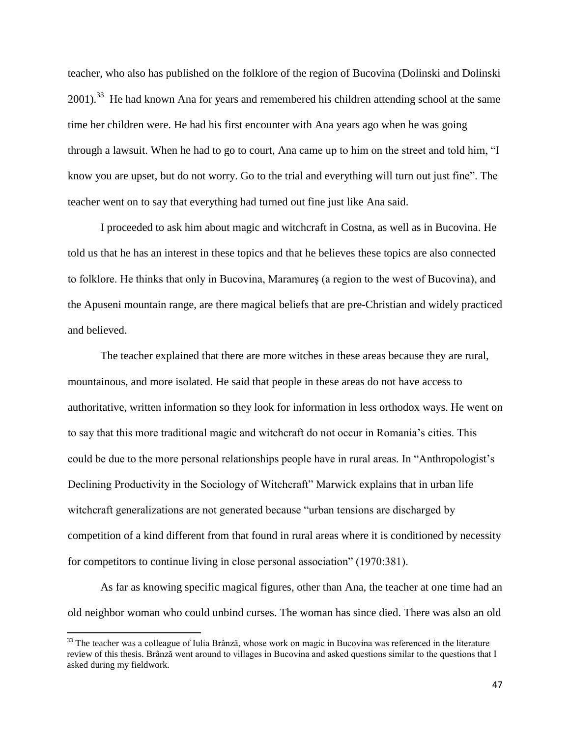teacher, who also has published on the folklore of the region of Bucovina (Dolinski and Dolinski  $2001$ ).<sup>33</sup> He had known Ana for years and remembered his children attending school at the same time her children were. He had his first encounter with Ana years ago when he was going through a lawsuit. When he had to go to court, Ana came up to him on the street and told him, "I know you are upset, but do not worry. Go to the trial and everything will turn out just fine". The teacher went on to say that everything had turned out fine just like Ana said.

I proceeded to ask him about magic and witchcraft in Costna, as well as in Bucovina. He told us that he has an interest in these topics and that he believes these topics are also connected to folklore. He thinks that only in Bucovina, Maramureş (a region to the west of Bucovina), and the Apuseni mountain range, are there magical beliefs that are pre-Christian and widely practiced and believed.

The teacher explained that there are more witches in these areas because they are rural, mountainous, and more isolated. He said that people in these areas do not have access to authoritative, written information so they look for information in less orthodox ways. He went on to say that this more traditional magic and witchcraft do not occur in Romania's cities. This could be due to the more personal relationships people have in rural areas. In "Anthropologist's Declining Productivity in the Sociology of Witchcraft" Marwick explains that in urban life witchcraft generalizations are not generated because "urban tensions are discharged by competition of a kind different from that found in rural areas where it is conditioned by necessity for competitors to continue living in close personal association" (1970:381).

As far as knowing specific magical figures, other than Ana, the teacher at one time had an old neighbor woman who could unbind curses. The woman has since died. There was also an old

<sup>&</sup>lt;sup>33</sup> The teacher was a colleague of Iulia Brânză, whose work on magic in Bucovina was referenced in the literature review of this thesis. Brânză went around to villages in Bucovina and asked questions similar to the questions that I asked during my fieldwork.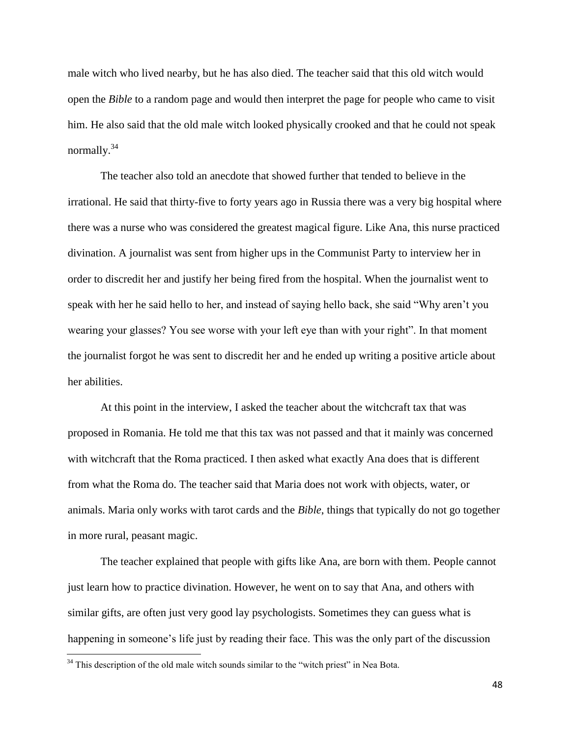male witch who lived nearby, but he has also died. The teacher said that this old witch would open the *Bible* to a random page and would then interpret the page for people who came to visit him. He also said that the old male witch looked physically crooked and that he could not speak normally.<sup>34</sup>

The teacher also told an anecdote that showed further that tended to believe in the irrational. He said that thirty-five to forty years ago in Russia there was a very big hospital where there was a nurse who was considered the greatest magical figure. Like Ana, this nurse practiced divination. A journalist was sent from higher ups in the Communist Party to interview her in order to discredit her and justify her being fired from the hospital. When the journalist went to speak with her he said hello to her, and instead of saying hello back, she said "Why aren't you wearing your glasses? You see worse with your left eye than with your right". In that moment the journalist forgot he was sent to discredit her and he ended up writing a positive article about her abilities.

At this point in the interview, I asked the teacher about the witchcraft tax that was proposed in Romania. He told me that this tax was not passed and that it mainly was concerned with witchcraft that the Roma practiced. I then asked what exactly Ana does that is different from what the Roma do. The teacher said that Maria does not work with objects, water, or animals. Maria only works with tarot cards and the *Bible*, things that typically do not go together in more rural, peasant magic.

The teacher explained that people with gifts like Ana, are born with them. People cannot just learn how to practice divination. However, he went on to say that Ana, and others with similar gifts, are often just very good lay psychologists. Sometimes they can guess what is happening in someone's life just by reading their face. This was the only part of the discussion

 $34$  This description of the old male witch sounds similar to the "witch priest" in Nea Bota.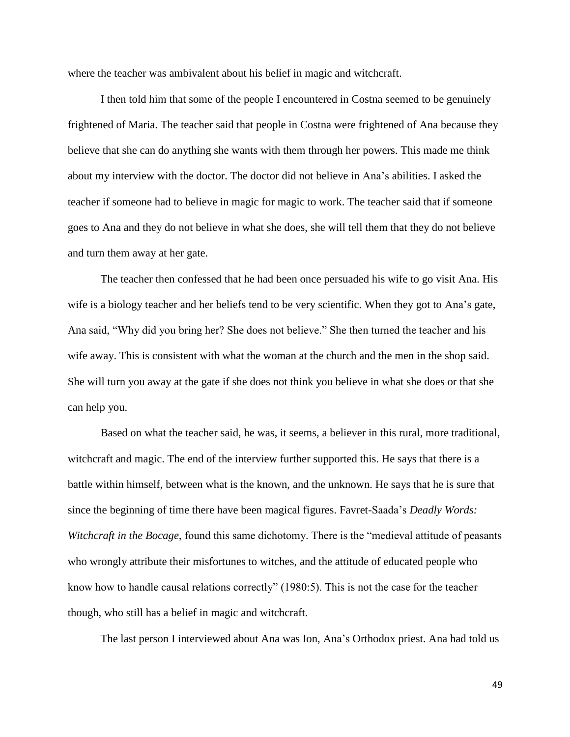where the teacher was ambivalent about his belief in magic and witchcraft.

I then told him that some of the people I encountered in Costna seemed to be genuinely frightened of Maria. The teacher said that people in Costna were frightened of Ana because they believe that she can do anything she wants with them through her powers. This made me think about my interview with the doctor. The doctor did not believe in Ana's abilities. I asked the teacher if someone had to believe in magic for magic to work. The teacher said that if someone goes to Ana and they do not believe in what she does, she will tell them that they do not believe and turn them away at her gate.

The teacher then confessed that he had been once persuaded his wife to go visit Ana. His wife is a biology teacher and her beliefs tend to be very scientific. When they got to Ana's gate, Ana said, "Why did you bring her? She does not believe." She then turned the teacher and his wife away. This is consistent with what the woman at the church and the men in the shop said. She will turn you away at the gate if she does not think you believe in what she does or that she can help you.

Based on what the teacher said, he was, it seems, a believer in this rural, more traditional, witchcraft and magic. The end of the interview further supported this. He says that there is a battle within himself, between what is the known, and the unknown. He says that he is sure that since the beginning of time there have been magical figures. Favret-Saada's *Deadly Words: Witchcraft in the Bocage*, found this same dichotomy. There is the "medieval attitude of peasants who wrongly attribute their misfortunes to witches, and the attitude of educated people who know how to handle causal relations correctly" (1980:5). This is not the case for the teacher though, who still has a belief in magic and witchcraft.

The last person I interviewed about Ana was Ion, Ana's Orthodox priest. Ana had told us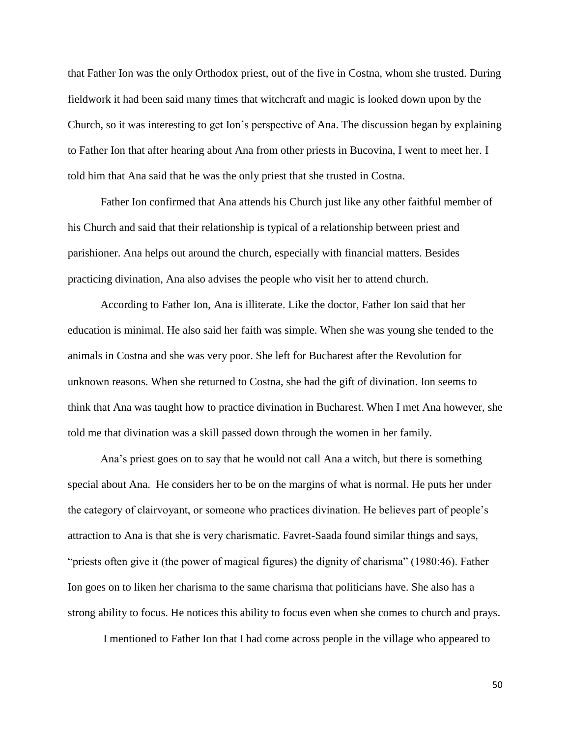that Father Ion was the only Orthodox priest, out of the five in Costna, whom she trusted. During fieldwork it had been said many times that witchcraft and magic is looked down upon by the Church, so it was interesting to get Ion's perspective of Ana. The discussion began by explaining to Father Ion that after hearing about Ana from other priests in Bucovina, I went to meet her. I told him that Ana said that he was the only priest that she trusted in Costna.

Father Ion confirmed that Ana attends his Church just like any other faithful member of his Church and said that their relationship is typical of a relationship between priest and parishioner. Ana helps out around the church, especially with financial matters. Besides practicing divination, Ana also advises the people who visit her to attend church.

According to Father Ion, Ana is illiterate. Like the doctor, Father Ion said that her education is minimal. He also said her faith was simple. When she was young she tended to the animals in Costna and she was very poor. She left for Bucharest after the Revolution for unknown reasons. When she returned to Costna, she had the gift of divination. Ion seems to think that Ana was taught how to practice divination in Bucharest. When I met Ana however, she told me that divination was a skill passed down through the women in her family.

Ana's priest goes on to say that he would not call Ana a witch, but there is something special about Ana. He considers her to be on the margins of what is normal. He puts her under the category of clairvoyant, or someone who practices divination. He believes part of people's attraction to Ana is that she is very charismatic. Favret-Saada found similar things and says, "priests often give it (the power of magical figures) the dignity of charisma" (1980:46). Father Ion goes on to liken her charisma to the same charisma that politicians have. She also has a strong ability to focus. He notices this ability to focus even when she comes to church and prays.

I mentioned to Father Ion that I had come across people in the village who appeared to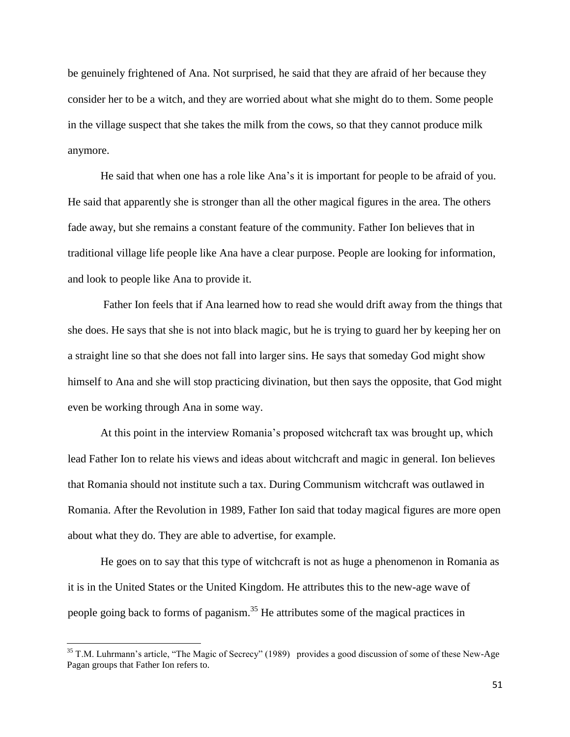be genuinely frightened of Ana. Not surprised, he said that they are afraid of her because they consider her to be a witch, and they are worried about what she might do to them. Some people in the village suspect that she takes the milk from the cows, so that they cannot produce milk anymore.

He said that when one has a role like Ana's it is important for people to be afraid of you. He said that apparently she is stronger than all the other magical figures in the area. The others fade away, but she remains a constant feature of the community. Father Ion believes that in traditional village life people like Ana have a clear purpose. People are looking for information, and look to people like Ana to provide it.

Father Ion feels that if Ana learned how to read she would drift away from the things that she does. He says that she is not into black magic, but he is trying to guard her by keeping her on a straight line so that she does not fall into larger sins. He says that someday God might show himself to Ana and she will stop practicing divination, but then says the opposite, that God might even be working through Ana in some way.

At this point in the interview Romania's proposed witchcraft tax was brought up, which lead Father Ion to relate his views and ideas about witchcraft and magic in general. Ion believes that Romania should not institute such a tax. During Communism witchcraft was outlawed in Romania. After the Revolution in 1989, Father Ion said that today magical figures are more open about what they do. They are able to advertise, for example.

He goes on to say that this type of witchcraft is not as huge a phenomenon in Romania as it is in the United States or the United Kingdom. He attributes this to the new-age wave of people going back to forms of paganism.<sup>35</sup> He attributes some of the magical practices in

 $35$  T.M. Luhrmann's article, "The Magic of Secrecy" (1989) provides a good discussion of some of these New-Age Pagan groups that Father Ion refers to.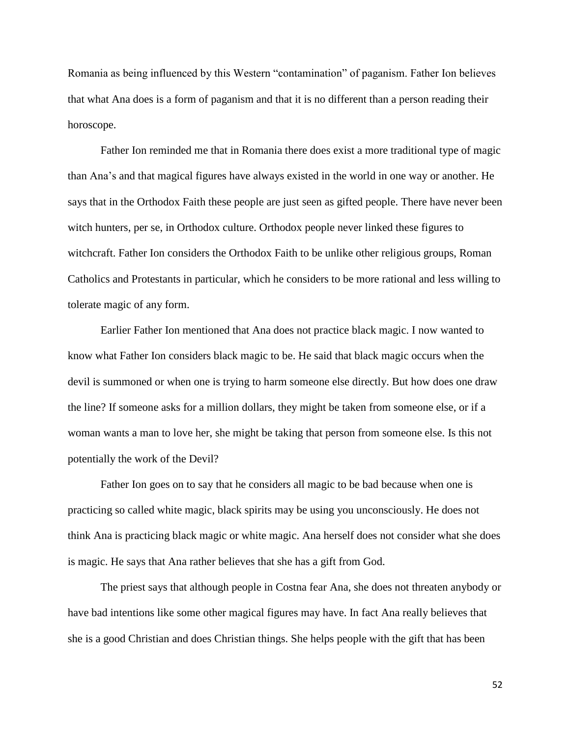Romania as being influenced by this Western "contamination" of paganism. Father Ion believes that what Ana does is a form of paganism and that it is no different than a person reading their horoscope.

Father Ion reminded me that in Romania there does exist a more traditional type of magic than Ana's and that magical figures have always existed in the world in one way or another. He says that in the Orthodox Faith these people are just seen as gifted people. There have never been witch hunters, per se, in Orthodox culture. Orthodox people never linked these figures to witchcraft. Father Ion considers the Orthodox Faith to be unlike other religious groups, Roman Catholics and Protestants in particular, which he considers to be more rational and less willing to tolerate magic of any form.

Earlier Father Ion mentioned that Ana does not practice black magic. I now wanted to know what Father Ion considers black magic to be. He said that black magic occurs when the devil is summoned or when one is trying to harm someone else directly. But how does one draw the line? If someone asks for a million dollars, they might be taken from someone else, or if a woman wants a man to love her, she might be taking that person from someone else. Is this not potentially the work of the Devil?

Father Ion goes on to say that he considers all magic to be bad because when one is practicing so called white magic, black spirits may be using you unconsciously. He does not think Ana is practicing black magic or white magic. Ana herself does not consider what she does is magic. He says that Ana rather believes that she has a gift from God.

The priest says that although people in Costna fear Ana, she does not threaten anybody or have bad intentions like some other magical figures may have. In fact Ana really believes that she is a good Christian and does Christian things. She helps people with the gift that has been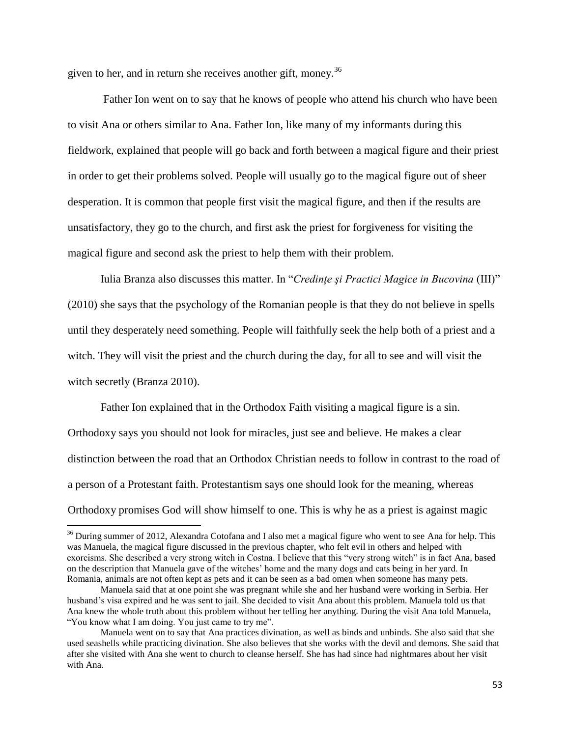given to her, and in return she receives another gift, money.<sup>36</sup>

Father Ion went on to say that he knows of people who attend his church who have been to visit Ana or others similar to Ana. Father Ion, like many of my informants during this fieldwork, explained that people will go back and forth between a magical figure and their priest in order to get their problems solved. People will usually go to the magical figure out of sheer desperation. It is common that people first visit the magical figure, and then if the results are unsatisfactory, they go to the church, and first ask the priest for forgiveness for visiting the magical figure and second ask the priest to help them with their problem.

Iulia Branza also discusses this matter. In "*Credinţe şi Practici Magice in Bucovina* (III)" (2010) she says that the psychology of the Romanian people is that they do not believe in spells until they desperately need something. People will faithfully seek the help both of a priest and a witch. They will visit the priest and the church during the day, for all to see and will visit the witch secretly (Branza 2010).

Father Ion explained that in the Orthodox Faith visiting a magical figure is a sin. Orthodoxy says you should not look for miracles, just see and believe. He makes a clear distinction between the road that an Orthodox Christian needs to follow in contrast to the road of a person of a Protestant faith. Protestantism says one should look for the meaning, whereas Orthodoxy promises God will show himself to one. This is why he as a priest is against magic

<sup>&</sup>lt;sup>36</sup> During summer of 2012, Alexandra Cotofana and I also met a magical figure who went to see Ana for help. This was Manuela, the magical figure discussed in the previous chapter, who felt evil in others and helped with exorcisms. She described a very strong witch in Costna. I believe that this "very strong witch" is in fact Ana, based on the description that Manuela gave of the witches' home and the many dogs and cats being in her yard. In Romania, animals are not often kept as pets and it can be seen as a bad omen when someone has many pets.

Manuela said that at one point she was pregnant while she and her husband were working in Serbia. Her husband's visa expired and he was sent to jail. She decided to visit Ana about this problem. Manuela told us that Ana knew the whole truth about this problem without her telling her anything. During the visit Ana told Manuela, "You know what I am doing. You just came to try me".

Manuela went on to say that Ana practices divination, as well as binds and unbinds. She also said that she used seashells while practicing divination. She also believes that she works with the devil and demons. She said that after she visited with Ana she went to church to cleanse herself. She has had since had nightmares about her visit with Ana.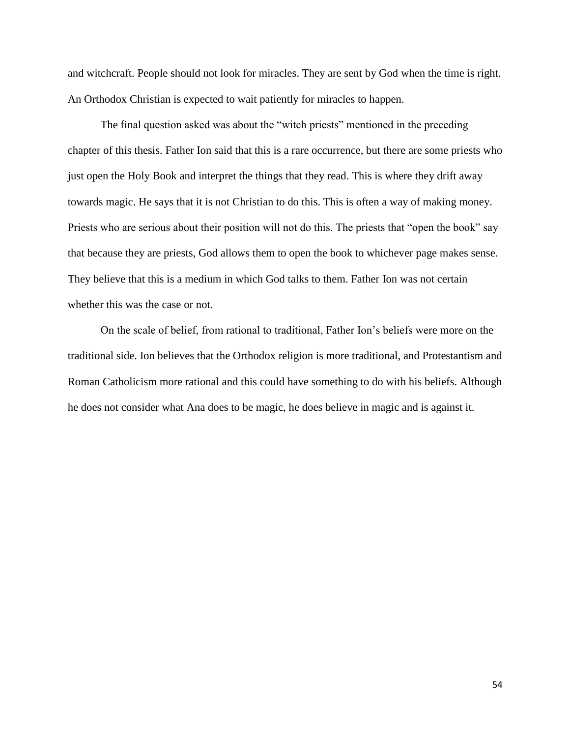and witchcraft. People should not look for miracles. They are sent by God when the time is right. An Orthodox Christian is expected to wait patiently for miracles to happen.

The final question asked was about the "witch priests" mentioned in the preceding chapter of this thesis. Father Ion said that this is a rare occurrence, but there are some priests who just open the Holy Book and interpret the things that they read. This is where they drift away towards magic. He says that it is not Christian to do this. This is often a way of making money. Priests who are serious about their position will not do this. The priests that "open the book" say that because they are priests, God allows them to open the book to whichever page makes sense. They believe that this is a medium in which God talks to them. Father Ion was not certain whether this was the case or not.

On the scale of belief, from rational to traditional, Father Ion's beliefs were more on the traditional side. Ion believes that the Orthodox religion is more traditional, and Protestantism and Roman Catholicism more rational and this could have something to do with his beliefs. Although he does not consider what Ana does to be magic, he does believe in magic and is against it.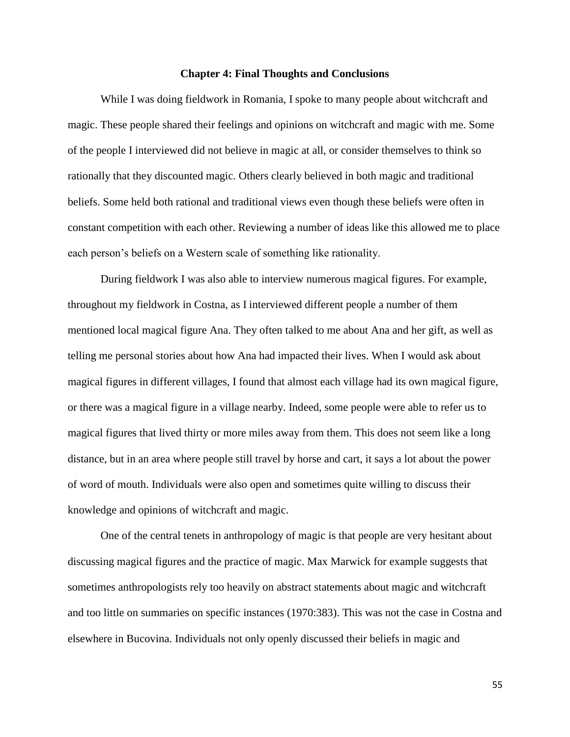#### **Chapter 4: Final Thoughts and Conclusions**

While I was doing fieldwork in Romania, I spoke to many people about witchcraft and magic. These people shared their feelings and opinions on witchcraft and magic with me. Some of the people I interviewed did not believe in magic at all, or consider themselves to think so rationally that they discounted magic. Others clearly believed in both magic and traditional beliefs. Some held both rational and traditional views even though these beliefs were often in constant competition with each other. Reviewing a number of ideas like this allowed me to place each person's beliefs on a Western scale of something like rationality.

During fieldwork I was also able to interview numerous magical figures. For example, throughout my fieldwork in Costna, as I interviewed different people a number of them mentioned local magical figure Ana. They often talked to me about Ana and her gift, as well as telling me personal stories about how Ana had impacted their lives. When I would ask about magical figures in different villages, I found that almost each village had its own magical figure, or there was a magical figure in a village nearby. Indeed, some people were able to refer us to magical figures that lived thirty or more miles away from them. This does not seem like a long distance, but in an area where people still travel by horse and cart, it says a lot about the power of word of mouth. Individuals were also open and sometimes quite willing to discuss their knowledge and opinions of witchcraft and magic.

One of the central tenets in anthropology of magic is that people are very hesitant about discussing magical figures and the practice of magic. Max Marwick for example suggests that sometimes anthropologists rely too heavily on abstract statements about magic and witchcraft and too little on summaries on specific instances (1970:383). This was not the case in Costna and elsewhere in Bucovina. Individuals not only openly discussed their beliefs in magic and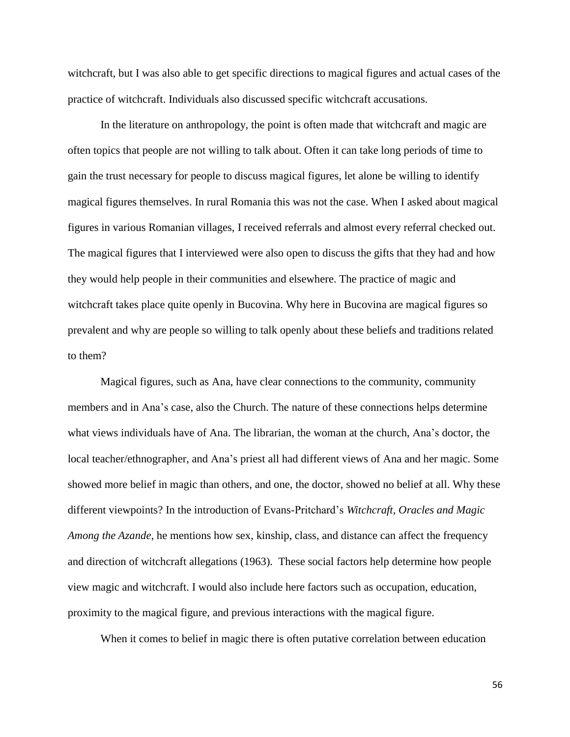witchcraft, but I was also able to get specific directions to magical figures and actual cases of the practice of witchcraft. Individuals also discussed specific witchcraft accusations.

In the literature on anthropology, the point is often made that witchcraft and magic are often topics that people are not willing to talk about. Often it can take long periods of time to gain the trust necessary for people to discuss magical figures, let alone be willing to identify magical figures themselves. In rural Romania this was not the case. When I asked about magical figures in various Romanian villages, I received referrals and almost every referral checked out. The magical figures that I interviewed were also open to discuss the gifts that they had and how they would help people in their communities and elsewhere. The practice of magic and witchcraft takes place quite openly in Bucovina. Why here in Bucovina are magical figures so prevalent and why are people so willing to talk openly about these beliefs and traditions related to them?

Magical figures, such as Ana, have clear connections to the community, community members and in Ana's case, also the Church. The nature of these connections helps determine what views individuals have of Ana. The librarian, the woman at the church, Ana's doctor, the local teacher/ethnographer, and Ana's priest all had different views of Ana and her magic. Some showed more belief in magic than others, and one, the doctor, showed no belief at all. Why these different viewpoints? In the introduction of Evans-Pritchard's *Witchcraft, Oracles and Magic Among the Azande*, he mentions how sex, kinship, class, and distance can affect the frequency and direction of witchcraft allegations (1963). These social factors help determine how people view magic and witchcraft. I would also include here factors such as occupation, education, proximity to the magical figure, and previous interactions with the magical figure.

When it comes to belief in magic there is often putative correlation between education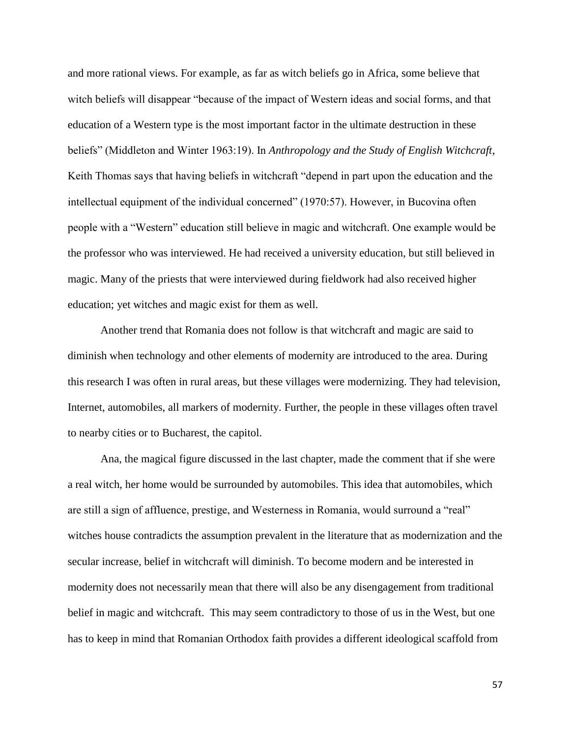and more rational views. For example, as far as witch beliefs go in Africa, some believe that witch beliefs will disappear "because of the impact of Western ideas and social forms, and that education of a Western type is the most important factor in the ultimate destruction in these beliefs" (Middleton and Winter 1963:19). In *Anthropology and the Study of English Witchcraft*, Keith Thomas says that having beliefs in witchcraft "depend in part upon the education and the intellectual equipment of the individual concerned" (1970:57). However, in Bucovina often people with a "Western" education still believe in magic and witchcraft. One example would be the professor who was interviewed. He had received a university education, but still believed in magic. Many of the priests that were interviewed during fieldwork had also received higher education; yet witches and magic exist for them as well.

Another trend that Romania does not follow is that witchcraft and magic are said to diminish when technology and other elements of modernity are introduced to the area. During this research I was often in rural areas, but these villages were modernizing. They had television, Internet, automobiles, all markers of modernity. Further, the people in these villages often travel to nearby cities or to Bucharest, the capitol.

Ana, the magical figure discussed in the last chapter, made the comment that if she were a real witch, her home would be surrounded by automobiles. This idea that automobiles, which are still a sign of affluence, prestige, and Westerness in Romania, would surround a "real" witches house contradicts the assumption prevalent in the literature that as modernization and the secular increase, belief in witchcraft will diminish. To become modern and be interested in modernity does not necessarily mean that there will also be any disengagement from traditional belief in magic and witchcraft. This may seem contradictory to those of us in the West, but one has to keep in mind that Romanian Orthodox faith provides a different ideological scaffold from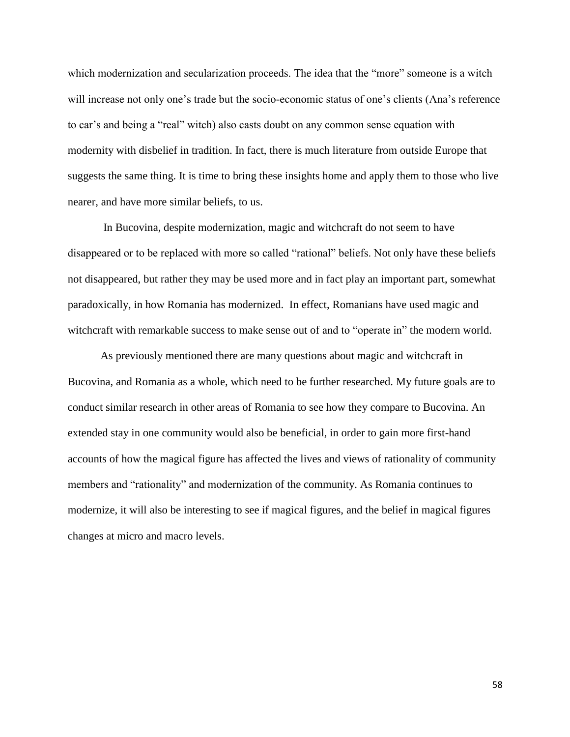which modernization and secularization proceeds. The idea that the "more" someone is a witch will increase not only one's trade but the socio-economic status of one's clients (Ana's reference to car's and being a "real" witch) also casts doubt on any common sense equation with modernity with disbelief in tradition. In fact, there is much literature from outside Europe that suggests the same thing. It is time to bring these insights home and apply them to those who live nearer, and have more similar beliefs, to us.

In Bucovina, despite modernization, magic and witchcraft do not seem to have disappeared or to be replaced with more so called "rational" beliefs. Not only have these beliefs not disappeared, but rather they may be used more and in fact play an important part, somewhat paradoxically, in how Romania has modernized. In effect, Romanians have used magic and witchcraft with remarkable success to make sense out of and to "operate in" the modern world.

As previously mentioned there are many questions about magic and witchcraft in Bucovina, and Romania as a whole, which need to be further researched. My future goals are to conduct similar research in other areas of Romania to see how they compare to Bucovina. An extended stay in one community would also be beneficial, in order to gain more first-hand accounts of how the magical figure has affected the lives and views of rationality of community members and "rationality" and modernization of the community. As Romania continues to modernize, it will also be interesting to see if magical figures, and the belief in magical figures changes at micro and macro levels.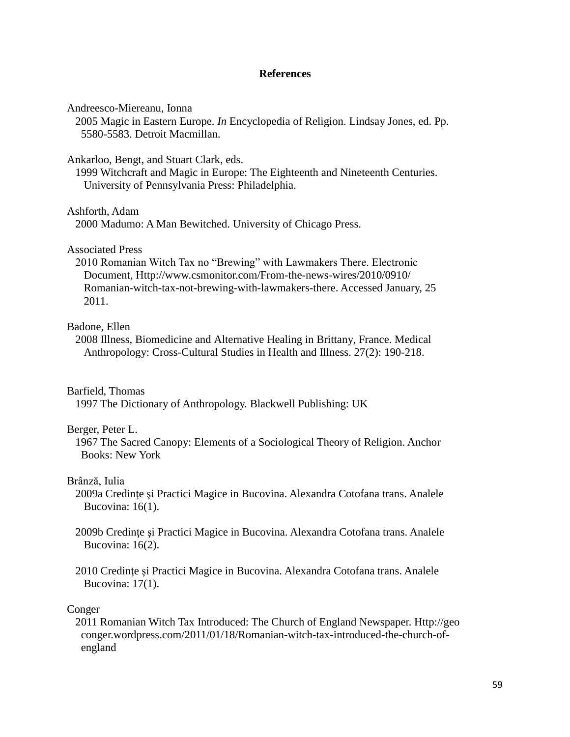## **References**

Andreesco-Miereanu, Ionna

 2005 Magic in Eastern Europe. *In* Encyclopedia of Religion. Lindsay Jones, ed. Pp. 5580-5583. Detroit Macmillan.

Ankarloo, Bengt, and Stuart Clark, eds.

 1999 Witchcraft and Magic in Europe: The Eighteenth and Nineteenth Centuries. University of Pennsylvania Press: Philadelphia.

Ashforth, Adam

2000 Madumo: A Man Bewitched. University of Chicago Press.

## Associated Press

 2010 Romanian Witch Tax no "Brewing" with Lawmakers There. Electronic Document, Http://www.csmonitor.com/From-the-news-wires/2010/0910/ Romanian-witch-tax-not-brewing-with-lawmakers-there. Accessed January, 25 2011.

## Badone, Ellen

 2008 Illness, Biomedicine and Alternative Healing in Brittany, France. Medical Anthropology: Cross-Cultural Studies in Health and Illness. 27(2): 190-218.

## Barfield, Thomas

1997 The Dictionary of Anthropology. Blackwell Publishing: UK

## Berger, Peter L.

 1967 The Sacred Canopy: Elements of a Sociological Theory of Religion. Anchor Books: New York

## Brânză, Iulia

- 2009a Credinţe şi Practici Magice in Bucovina. Alexandra Cotofana trans. Analele Bucovina: 16(1).
- 2009b Credinţe şi Practici Magice in Bucovina. Alexandra Cotofana trans. Analele Bucovina: 16(2).
- 2010 Credinţe şi Practici Magice in Bucovina. Alexandra Cotofana trans. Analele Bucovina: 17(1).

#### Conger

 2011 Romanian Witch Tax Introduced: The Church of England Newspaper. Http://geo conger.wordpress.com/2011/01/18/Romanian-witch-tax-introduced-the-church-of england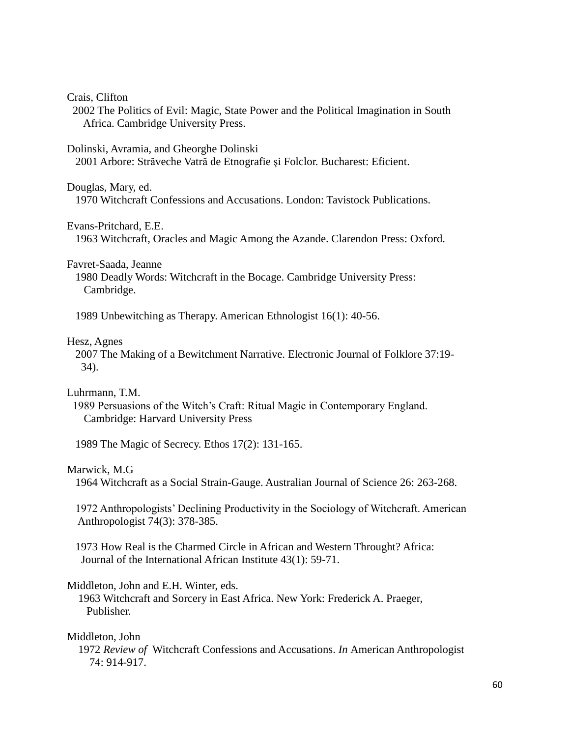Crais, Clifton

 2002 The Politics of Evil: Magic, State Power and the Political Imagination in South Africa. Cambridge University Press.

Dolinski, Avramia, and Gheorghe Dolinski

2001 Arbore: Străveche Vatră de Etnografie şi Folclor. Bucharest: Eficient.

Douglas, Mary, ed.

1970 Witchcraft Confessions and Accusations. London: Tavistock Publications.

Evans-Pritchard, E.E.

1963 Witchcraft, Oracles and Magic Among the Azande. Clarendon Press: Oxford.

Favret-Saada, Jeanne

 1980 Deadly Words: Witchcraft in the Bocage. Cambridge University Press: Cambridge.

1989 Unbewitching as Therapy. American Ethnologist 16(1): 40-56.

## Hesz, Agnes

 2007 The Making of a Bewitchment Narrative. Electronic Journal of Folklore 37:19- 34).

Luhrmann, T.M.

 1989 Persuasions of the Witch's Craft: Ritual Magic in Contemporary England. Cambridge: Harvard University Press

1989 The Magic of Secrecy. Ethos 17(2): 131-165.

## Marwick, M.G

1964 Witchcraft as a Social Strain-Gauge. Australian Journal of Science 26: 263-268.

 1972 Anthropologists' Declining Productivity in the Sociology of Witchcraft. American Anthropologist 74(3): 378-385.

 1973 How Real is the Charmed Circle in African and Western Throught? Africa: Journal of the International African Institute 43(1): 59-71.

## Middleton, John and E.H. Winter, eds.

 1963 Witchcraft and Sorcery in East Africa. New York: Frederick A. Praeger, Publisher.

## Middleton, John

 1972 *Review of* Witchcraft Confessions and Accusations. *In* American Anthropologist 74: 914-917.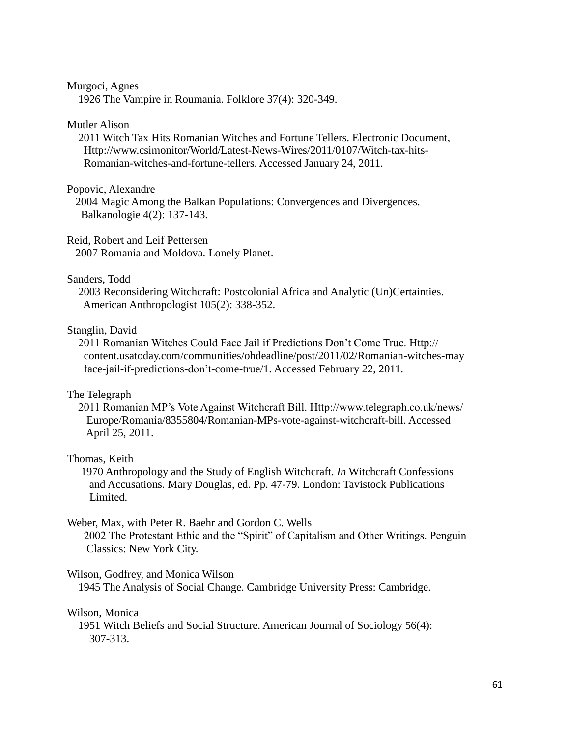## Murgoci, Agnes

1926 The Vampire in Roumania. Folklore 37(4): 320-349.

## Mutler Alison

 2011 Witch Tax Hits Romanian Witches and Fortune Tellers. Electronic Document, Http://www.csimonitor/World/Latest-News-Wires/2011/0107/Witch-tax-hits- Romanian-witches-and-fortune-tellers. Accessed January 24, 2011.

## Popovic, Alexandre

 2004 Magic Among the Balkan Populations: Convergences and Divergences. Balkanologie 4(2): 137-143.

## Reid, Robert and Leif Pettersen

2007 Romania and Moldova. Lonely Planet.

#### Sanders, Todd

 2003 Reconsidering Witchcraft: Postcolonial Africa and Analytic (Un)Certainties. American Anthropologist 105(2): 338-352.

## Stanglin, David

 2011 Romanian Witches Could Face Jail if Predictions Don't Come True. Http:// content.usatoday.com/communities/ohdeadline/post/2011/02/Romanian-witches-may face-jail-if-predictions-don't-come-true/1. Accessed February 22, 2011.

## The Telegraph

 2011 Romanian MP's Vote Against Witchcraft Bill. Http://www.telegraph.co.uk/news/ Europe/Romania/8355804/Romanian-MPs-vote-against-witchcraft-bill. Accessed April 25, 2011.

## Thomas, Keith

 1970 Anthropology and the Study of English Witchcraft. *In* Witchcraft Confessions and Accusations. Mary Douglas, ed. Pp. 47-79. London: Tavistock Publications Limited.

## Weber, Max, with Peter R. Baehr and Gordon C. Wells

 2002 The Protestant Ethic and the "Spirit" of Capitalism and Other Writings. Penguin Classics: New York City.

## Wilson, Godfrey, and Monica Wilson

1945 The Analysis of Social Change. Cambridge University Press: Cambridge.

#### Wilson, Monica

 1951 Witch Beliefs and Social Structure. American Journal of Sociology 56(4): 307-313.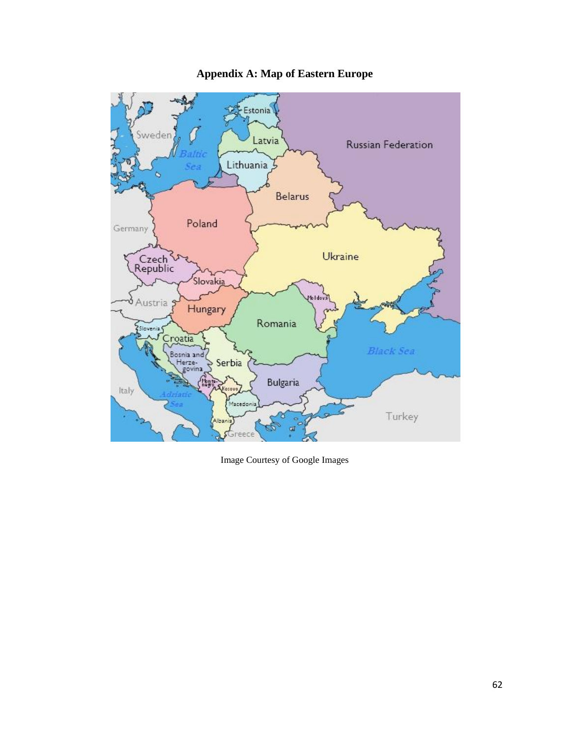

## **Appendix A: Map of Eastern Europe**

Image Courtesy of Google Images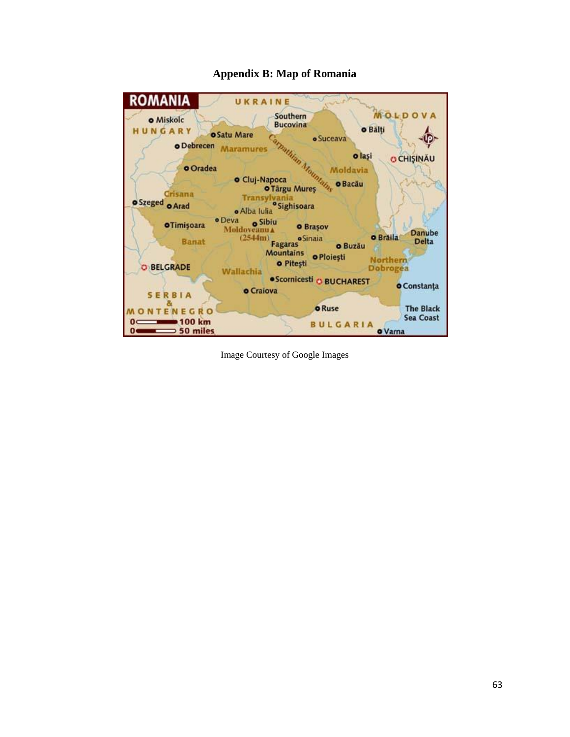

## **Appendix B: Map of Romania**

Image Courtesy of Google Images